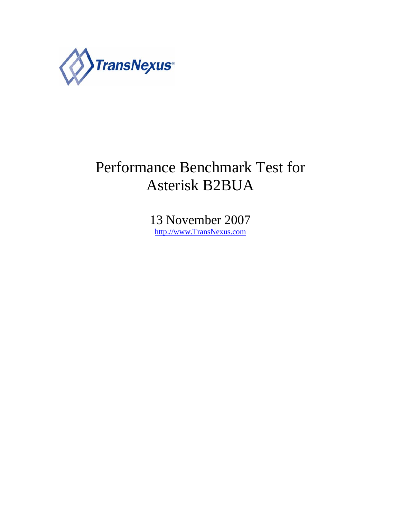

# Performance Benchmark Test for Asterisk B2BUA

13 November 2007 http://www.TransNexus.com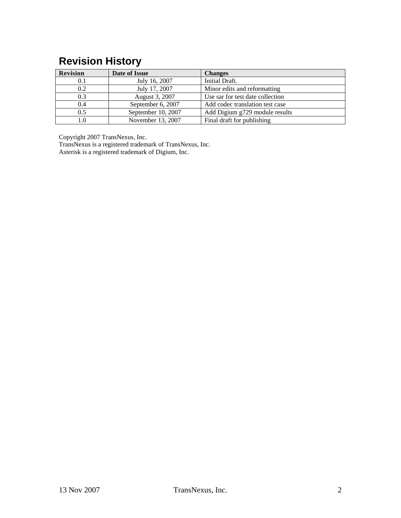## **Revision History**

| <b>Revision</b> | Date of Issue      | <b>Changes</b>                   |  |  |
|-----------------|--------------------|----------------------------------|--|--|
| 0.1             | July 16, 2007      | Initial Draft.                   |  |  |
| 0.2             | July 17, 2007      | Minor edits and reformatting     |  |  |
| 0.3             | August 3, 2007     | Use sar for test date collection |  |  |
| 0.4             | September 6, 2007  | Add codec translation test case  |  |  |
| 0.5             | September 10, 2007 | Add Digium g729 module results   |  |  |
|                 | November 13, 2007  | Final draft for publishing       |  |  |

Copyright 2007 TransNexus, Inc.

TransNexus is a registered trademark of TransNexus, Inc. Asterisk is a registered trademark of Digium, Inc.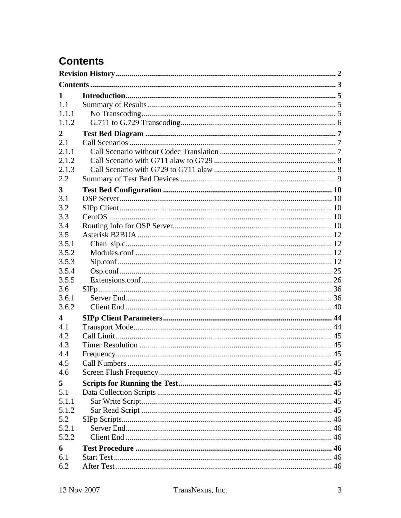## **Contents**

| 1                |  |
|------------------|--|
| 1.1              |  |
| 1.1.1            |  |
| 1.1.2            |  |
| 2                |  |
| 2.1              |  |
| 2.1.1            |  |
| 2.1.2            |  |
| 2.1.3            |  |
| 2.2              |  |
| 3                |  |
| 3.1              |  |
| 3.2              |  |
| 3.3              |  |
| 3.4              |  |
| 3.5              |  |
| 3.5.1            |  |
| 3.5.2            |  |
| 3.5.3            |  |
| 3.5.4            |  |
| 3.5.5            |  |
| 3.6              |  |
| 3.6.1            |  |
| 3.6.2            |  |
| $\boldsymbol{4}$ |  |
| 4.1              |  |
| 4.2              |  |
| 4.3              |  |
| 4.4              |  |
| 4.5              |  |
| 4.6              |  |
| 5                |  |
| 5.1              |  |
| 5.1.1            |  |
| 5.1.2            |  |
| 5.2              |  |
| 5.2.1            |  |
| 5.2.2            |  |
| 6                |  |
| 6.1              |  |
| 6.2              |  |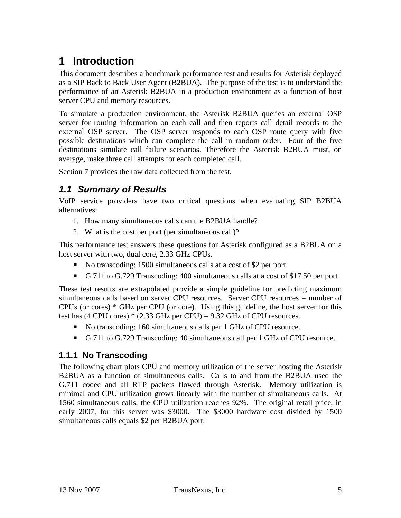## **1 Introduction**

This document describes a benchmark performance test and results for Asterisk deployed as a SIP Back to Back User Agent (B2BUA). The purpose of the test is to understand the performance of an Asterisk B2BUA in a production environment as a function of host server CPU and memory resources.

To simulate a production environment, the Asterisk B2BUA queries an external OSP server for routing information on each call and then reports call detail records to the external OSP server. The OSP server responds to each OSP route query with five possible destinations which can complete the call in random order. Four of the five destinations simulate call failure scenarios. Therefore the Asterisk B2BUA must, on average, make three call attempts for each completed call.

Section 7 provides the raw data collected from the test.

### *1.1 Summary of Results*

VoIP service providers have two critical questions when evaluating SIP B2BUA alternatives:

- 1. How many simultaneous calls can the B2BUA handle?
- 2. What is the cost per port (per simultaneous call)?

This performance test answers these questions for Asterisk configured as a B2BUA on a host server with two, dual core, 2.33 GHz CPUs.

- No transcoding: 1500 simultaneous calls at a cost of \$2 per port
- G.711 to G.729 Transcoding: 400 simultaneous calls at a cost of \$17.50 per port

These test results are extrapolated provide a simple guideline for predicting maximum simultaneous calls based on server CPU resources. Server CPU resources = number of CPUs (or cores) \* GHz per CPU (or core). Using this guideline, the host server for this test has  $(4 \text{ CPU cores}) * (2.33 \text{ GHz per CPU}) = 9.32 \text{ GHz of CPU resources.}$ 

- No transcoding: 160 simultaneous calls per 1 GHz of CPU resource.
- G.711 to G.729 Transcoding: 40 simultaneous call per 1 GHz of CPU resource.

#### **1.1.1 No Transcoding**

The following chart plots CPU and memory utilization of the server hosting the Asterisk B2BUA as a function of simultaneous calls. Calls to and from the B2BUA used the G.711 codec and all RTP packets flowed through Asterisk. Memory utilization is minimal and CPU utilization grows linearly with the number of simultaneous calls. At 1560 simultaneous calls, the CPU utilization reaches 92%. The original retail price, in early 2007, for this server was \$3000. The \$3000 hardware cost divided by 1500 simultaneous calls equals \$2 per B2BUA port.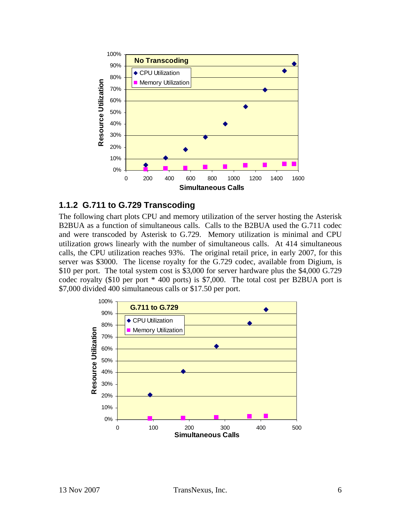

#### **1.1.2 G.711 to G.729 Transcoding**

The following chart plots CPU and memory utilization of the server hosting the Asterisk B2BUA as a function of simultaneous calls. Calls to the B2BUA used the G.711 codec and were transcoded by Asterisk to G.729. Memory utilization is minimal and CPU utilization grows linearly with the number of simultaneous calls. At 414 simultaneous calls, the CPU utilization reaches 93%. The original retail price, in early 2007, for this server was \$3000. The license royalty for the G.729 codec, available from Digium, is \$10 per port. The total system cost is \$3,000 for server hardware plus the \$4,000 G.729 codec royalty (\$10 per port \* 400 ports) is \$7,000. The total cost per B2BUA port is \$7,000 divided 400 simultaneous calls or \$17.50 per port.

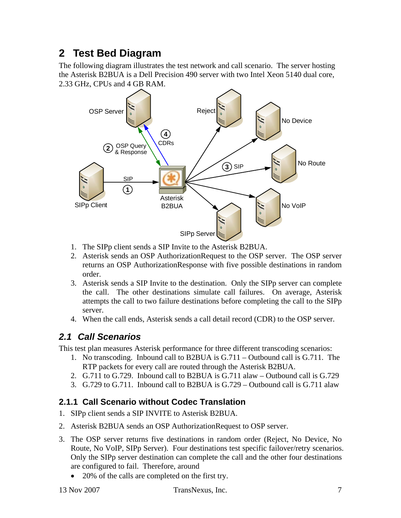## **2 Test Bed Diagram**

The following diagram illustrates the test network and call scenario. The server hosting the Asterisk B2BUA is a Dell Precision 490 server with two Intel Xeon 5140 dual core, 2.33 GHz, CPUs and 4 GB RAM.



- 1. The SIPp client sends a SIP Invite to the Asterisk B2BUA.
- 2. Asterisk sends an OSP AuthorizationRequest to the OSP server. The OSP server returns an OSP AuthorizationResponse with five possible destinations in random order.
- 3. Asterisk sends a SIP Invite to the destination. Only the SIPp server can complete the call. The other destinations simulate call failures. On average, Asterisk attempts the call to two failure destinations before completing the call to the SIPp server.
- 4. When the call ends, Asterisk sends a call detail record (CDR) to the OSP server.

### *2.1 Call Scenarios*

This test plan measures Asterisk performance for three different transcoding scenarios:

- 1. No transcoding. Inbound call to B2BUA is G.711 Outbound call is G.711. The RTP packets for every call are routed through the Asterisk B2BUA.
- 2. G.711 to G.729. Inbound call to B2BUA is G.711 alaw Outbound call is G.729
- 3. G.729 to G.711. Inbound call to B2BUA is G.729 Outbound call is G.711 alaw

### **2.1.1 Call Scenario without Codec Translation**

- 1. SIPp client sends a SIP INVITE to Asterisk B2BUA.
- 2. Asterisk B2BUA sends an OSP AuthorizationRequest to OSP server.
- 3. The OSP server returns five destinations in random order (Reject, No Device, No Route, No VoIP, SIPp Server). Four destinations test specific failover/retry scenarios. Only the SIPp server destination can complete the call and the other four destinations are configured to fail. Therefore, around
	- 20% of the calls are completed on the first try.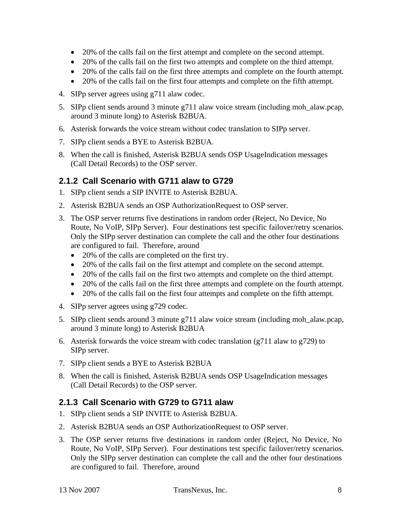- 20% of the calls fail on the first attempt and complete on the second attempt.
- 20% of the calls fail on the first two attempts and complete on the third attempt.
- 20% of the calls fail on the first three attempts and complete on the fourth attempt.
- 20% of the calls fail on the first four attempts and complete on the fifth attempt.
- 4. SIPp server agrees using g711 alaw codec.
- 5. SIPp client sends around 3 minute g711 alaw voice stream (including moh\_alaw.pcap, around 3 minute long) to Asterisk B2BUA.
- 6. Asterisk forwards the voice stream without codec translation to SIPp server.
- 7. SIPp client sends a BYE to Asterisk B2BUA.
- 8. When the call is finished, Asterisk B2BUA sends OSP UsageIndication messages (Call Detail Records) to the OSP server.

#### **2.1.2 Call Scenario with G711 alaw to G729**

- 1. SIPp client sends a SIP INVITE to Asterisk B2BUA.
- 2. Asterisk B2BUA sends an OSP AuthorizationRequest to OSP server.
- 3. The OSP server returns five destinations in random order (Reject, No Device, No Route, No VoIP, SIPp Server). Four destinations test specific failover/retry scenarios. Only the SIPp server destination can complete the call and the other four destinations are configured to fail. Therefore, around
	- 20% of the calls are completed on the first try.
	- 20% of the calls fail on the first attempt and complete on the second attempt.
	- 20% of the calls fail on the first two attempts and complete on the third attempt.
	- 20% of the calls fail on the first three attempts and complete on the fourth attempt.
	- 20% of the calls fail on the first four attempts and complete on the fifth attempt.
- 4. SIPp server agrees using g729 codec.
- 5. SIPp client sends around 3 minute g711 alaw voice stream (including moh\_alaw.pcap, around 3 minute long) to Asterisk B2BUA
- 6. Asterisk forwards the voice stream with codec translation (g711 alaw to g729) to SIPp server.
- 7. SIPp client sends a BYE to Asterisk B2BUA
- 8. When the call is finished, Asterisk B2BUA sends OSP UsageIndication messages (Call Detail Records) to the OSP server.

#### **2.1.3 Call Scenario with G729 to G711 alaw**

- 1. SIPp client sends a SIP INVITE to Asterisk B2BUA.
- 2. Asterisk B2BUA sends an OSP AuthorizationRequest to OSP server.
- 3. The OSP server returns five destinations in random order (Reject, No Device, No Route, No VoIP, SIPp Server). Four destinations test specific failover/retry scenarios. Only the SIPp server destination can complete the call and the other four destinations are configured to fail. Therefore, around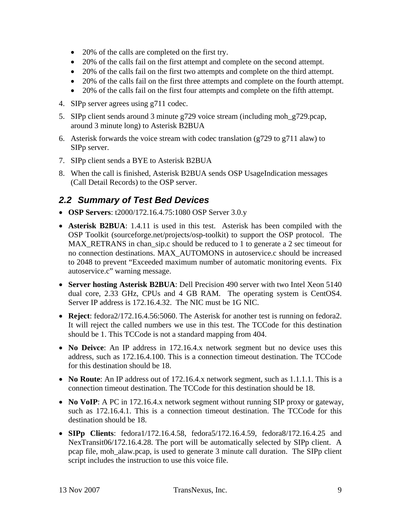- 20% of the calls are completed on the first try.
- 20% of the calls fail on the first attempt and complete on the second attempt.
- 20% of the calls fail on the first two attempts and complete on the third attempt.
- 20% of the calls fail on the first three attempts and complete on the fourth attempt.
- 20% of the calls fail on the first four attempts and complete on the fifth attempt.
- 4. SIPp server agrees using g711 codec.
- 5. SIPp client sends around 3 minute g729 voice stream (including moh\_g729.pcap, around 3 minute long) to Asterisk B2BUA
- 6. Asterisk forwards the voice stream with codec translation (g729 to g711 alaw) to SIPp server.
- 7. SIPp client sends a BYE to Asterisk B2BUA
- 8. When the call is finished, Asterisk B2BUA sends OSP UsageIndication messages (Call Detail Records) to the OSP server.

### *2.2 Summary of Test Bed Devices*

- **OSP Servers**: t2000/172.16.4.75:1080 OSP Server 3.0.y
- **Asterisk B2BUA**: 1.4.11 is used in this test. Asterisk has been compiled with the OSP Toolkit (sourceforge.net/projects/osp-toolkit) to support the OSP protocol. The MAX\_RETRANS in chan\_sip.c should be reduced to 1 to generate a 2 sec timeout for no connection destinations. MAX\_AUTOMONS in autoservice.c should be increased to 2048 to prevent "Exceeded maximum number of automatic monitoring events. Fix autoservice.c" warning message.
- **Server hosting Asterisk B2BUA**: Dell Precision 490 server with two Intel Xeon 5140 dual core, 2.33 GHz, CPUs and 4 GB RAM. The operating system is CentOS4. Server IP address is 172.16.4.32. The NIC must be 1G NIC.
- **Reject**: fedora2/172.16.4.56:5060. The Asterisk for another test is running on fedora2. It will reject the called numbers we use in this test. The TCCode for this destination should be 1. This TCCode is not a standard mapping from 404.
- **No Deivce**: An IP address in 172.16.4.x network segment but no device uses this address, such as 172.16.4.100. This is a connection timeout destination. The TCCode for this destination should be 18.
- **No Route**: An IP address out of 172.16.4.x network segment, such as 1.1.1.1. This is a connection timeout destination. The TCCode for this destination should be 18.
- **No VoIP**: A PC in 172.16.4.x network segment without running SIP proxy or gateway, such as 172.16.4.1. This is a connection timeout destination. The TCCode for this destination should be 18.
- **SIPp Clients**: fedora1/172.16.4.58, fedora5/172.16.4.59, fedora8/172.16.4.25 and NexTransit06/172.16.4.28. The port will be automatically selected by SIPp client. A pcap file, moh\_alaw.pcap, is used to generate 3 minute call duration. The SIPp client script includes the instruction to use this voice file.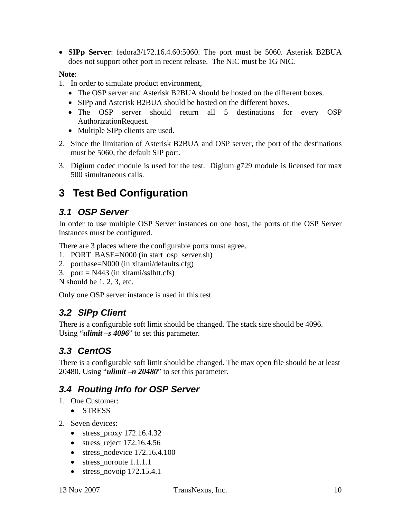• **SIPp Server**: fedora3/172.16.4.60:5060. The port must be 5060. Asterisk B2BUA does not support other port in recent release. The NIC must be 1G NIC.

#### **Note**:

- 1. In order to simulate product environment,
	- The OSP server and Asterisk B2BUA should be hosted on the different boxes.
	- SIPp and Asterisk B2BUA should be hosted on the different boxes.
	- The OSP server should return all 5 destinations for every OSP AuthorizationRequest.
	- Multiple SIPp clients are used.
- 2. Since the limitation of Asterisk B2BUA and OSP server, the port of the destinations must be 5060, the default SIP port.
- 3. Digium codec module is used for the test. Digium g729 module is licensed for max 500 simultaneous calls.

## **3 Test Bed Configuration**

### *3.1 OSP Server*

In order to use multiple OSP Server instances on one host, the ports of the OSP Server instances must be configured.

There are 3 places where the configurable ports must agree.

- 1. PORT\_BASE=N000 (in start\_osp\_server.sh)
- 2. portbase=N000 (in xitami/defaults.cfg)
- 3. port =  $N443$  (in xitami/sslhtt.cfs)
- N should be 1, 2, 3, etc.

Only one OSP server instance is used in this test.

### *3.2 SIPp Client*

There is a configurable soft limit should be changed. The stack size should be 4096. Using "*ulimit –s 4096*" to set this parameter.

### *3.3 CentOS*

There is a configurable soft limit should be changed. The max open file should be at least 20480. Using "*ulimit –n 20480*" to set this parameter.

### *3.4 Routing Info for OSP Server*

- 1. One Customer:
	- STRESS
- 2. Seven devices:
	- stress\_proxy  $172.16.4.32$
	- stress reject  $172.16.4.56$
	- stress nodevice  $172.16.4.100$
	- stress\_noroute 1.1.1.1
	- stress\_novoip 172.15.4.1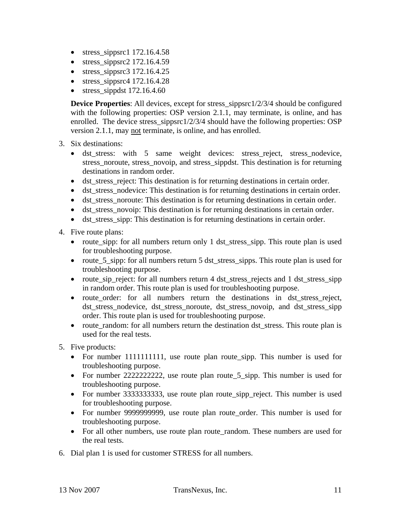- stress\_sippsrc1  $172.16.4.58$
- stress sippsrc2  $172.16.4.59$
- stress\_sippsrc $3\,172.16.4.25$
- stress\_sippsrc4  $172.16.4.28$
- stress sippdst  $172.16.4.60$

**Device Properties:** All devices, except for stress\_sippsrc1/2/3/4 should be configured with the following properties: OSP version 2.1.1, may terminate, is online, and has enrolled. The device stress\_sippsrc1/2/3/4 should have the following properties: OSP version 2.1.1, may not terminate, is online, and has enrolled.

- 3. Six destinations:
	- dst\_stress: with 5 same weight devices: stress\_reject, stress\_nodevice, stress noroute, stress novoip, and stress sippdst. This destination is for returning destinations in random order.
	- dst stress reject: This destination is for returning destinations in certain order.
	- dst\_stress\_nodevice: This destination is for returning destinations in certain order.
	- dst\_stress\_noroute: This destination is for returning destinations in certain order.
	- dst\_stress\_novoip: This destination is for returning destinations in certain order.
	- dst\_stress\_sipp: This destination is for returning destinations in certain order.

4. Five route plans:

- route\_sipp: for all numbers return only 1 dst\_stress\_sipp. This route plan is used for troubleshooting purpose.
- route 5 sipp: for all numbers return 5 dst stress sipps. This route plan is used for troubleshooting purpose.
- route sip reject: for all numbers return 4 dst stress rejects and 1 dst stress sipp in random order. This route plan is used for troubleshooting purpose.
- route order: for all numbers return the destinations in dst stress reject, dst stress\_nodevice, dst\_stress\_noroute, dst\_stress\_novoip, and dst\_stress\_sipp order. This route plan is used for troubleshooting purpose.
- route random: for all numbers return the destination dst stress. This route plan is used for the real tests.
- 5. Five products:
	- For number 1111111111, use route plan route\_sipp. This number is used for troubleshooting purpose.
	- For number 22222222222, use route plan route 5 sipp. This number is used for troubleshooting purpose.
	- For number 3333333333, use route plan route\_sipp\_reject. This number is used for troubleshooting purpose.
	- For number 99999999999, use route plan route\_order. This number is used for troubleshooting purpose.
	- For all other numbers, use route plan route\_random. These numbers are used for the real tests.
- 6. Dial plan 1 is used for customer STRESS for all numbers.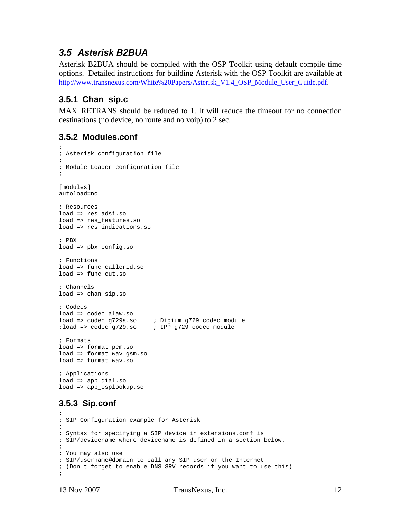### *3.5 Asterisk B2BUA*

Asterisk B2BUA should be compiled with the OSP Toolkit using default compile time options. Detailed instructions for building Asterisk with the OSP Toolkit are available at http://www.transnexus.com/White%20Papers/Asterisk\_V1.4\_OSP\_Module\_User\_Guide.pdf.

### **3.5.1 Chan\_sip.c**

MAX RETRANS should be reduced to 1. It will reduce the timeout for no connection destinations (no device, no route and no voip) to 2 sec.

#### **3.5.2 Modules.conf**

```
; 
; Asterisk configuration file 
; 
; Module Loader configuration file 
; 
[modules]
autoload=no 
; Resources 
load => res_adsi.so 
load => res_features.so 
load => res_indications.so 
; PBX 
load => pbx_config.so 
; Functions 
load => func_callerid.so 
load => func_cut.so 
; Channels 
load => chan_sip.so 
; Codecs 
load => codec_alaw.so 
load => codec_g729a.so ; Digium g729 codec module 
                         ; IPP g729 codec module
; Formats 
load => format pcm.so
load => format_wav_gsm.so 
load => format_wav.so 
; Applications
```
load => app\_dial.so load => app\_osplookup.so

### **3.5.3 Sip.conf**

```
; 
; SIP Configuration example for Asterisk 
; 
; Syntax for specifying a SIP device in extensions.conf is 
; SIP/devicename where devicename is defined in a section below. 
; 
; You may also use 
; SIP/username@domain to call any SIP user on the Internet 
; (Don't forget to enable DNS SRV records if you want to use this) 
;
```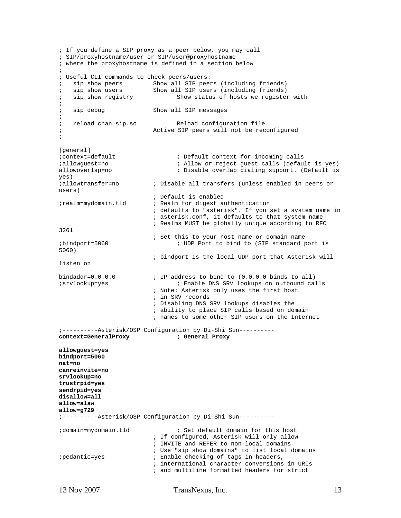```
; If you define a SIP proxy as a peer below, you may call 
; SIP/proxyhostname/user or SIP/user@proxyhostname 
; where the proxyhostname is defined in a section below 
; 
; Useful CLI commands to check peers/users: 
; sip show peers Show all SIP peers (including friends)<br>; sip show users Show all SIP users (including friends)
; sip show users Show all SIP users (including friends) 
                                   Show status of hosts we register with
; 
; sip debug Show all SIP messages
; 
; reload chan sip.so The Reload configuration file
; Active SIP peers will not be reconfigured 
; 
[general] 
;context=default ; Default context for incoming calls 
;allowguest=no ; Allow or reject guest calls (default is yes) 
allowoverlap=no \qquad \qquad ; Disable overlap dialing support. (Default is
yes) 
;allowtransfer=no ; Disable all transfers (unless enabled in peers or 
users) 
                             ; Default is enabled 
;realm=mydomain.tld ; Realm for digest authentication 
                             ; defaults to "asterisk". If you set a system name in 
                             ; asterisk.conf, it defaults to that system name 
                             ; Realms MUST be globally unique according to RFC 
3261 
; Set this to your host name or domain name<br>ibindport=5060 (SIP standard ; UDP Port to bind to (SIP standard p
                                   ; UDP Port to bind to (SIP standard port is
5060) 
                             ; bindport is the local UDP port that Asterisk will 
listen on 
bindaddr=0.0.0.0                   ; IP address to bind to (0.0.0.0 binds to all)<br>; Enable DNS SRV lookups on outbound ca
                                   ; Enable DNS SRV lookups on outbound calls
                             ; Note: Asterisk only uses the first host 
                             ; in SRV records 
                             ; Disabling DNS SRV lookups disables the 
                             ; ability to place SIP calls based on domain 
                             ; names to some other SIP users on the Internet 
;----------Asterisk/OSP Configuration by Di-Shi Sun---------- 
context=GeneralProxy ; General Proxy 
allowguest=yes 
bindport=5060 
nat=no 
canreinvite=no 
srvlookup=no 
trustrpid=yes 
sendrpid=yes 
disallow=all 
allow=alaw 
allow=g729 
;----------Asterisk/OSP Configuration by Di-Shi Sun---------- 
;domain=mydomain.tld ; Set default domain for this host 
                             ; If configured, Asterisk will only allow 
                             ; INVITE and REFER to non-local domains 
; Use "sip show domains" to list local domains<br>; Enable checking of tags in headers,
                           ; Enable checking of tags in headers,
                             ; international character conversions in URIs 
                             ; and multiline formatted headers for strict
```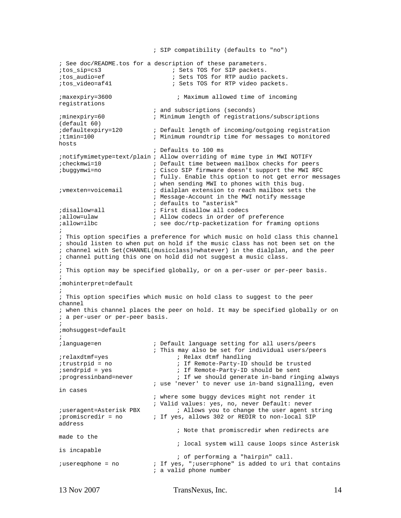; SIP compatibility (defaults to "no") ; See doc/README.tos for a description of these parameters. %;tos\_sip=cs3 ;tos\_sip=cs3 ;tos\_sip=cs3 ;tos\_audio=ef ; Sets TOS for RTP audio pa %;tos\_audio=ef ; Sets TOS for RTP audio packets.<br>;tos\_video=af41 ; Sets TOS for RTP video packets. ; Sets TOS for RTP video packets. ;maxexpiry=3600 ; Maximum allowed time of incoming registrations ; and subscriptions (seconds) ;minexpiry=60 ; Minimum length of registrations/subscriptions (default 60)<br>defaultexpiry=120 idefaultexpiry=120 ; Default length of incoming/outgoing registration<br>itlmin=100 ; Minimum roundtrip time for messages to monitored ; Minimum roundtrip time for messages to monitored hosts ; Defaults to 100 ms ;notifymimetype=text/plain ; Allow overriding of mime type in MWI NOTIFY ;checkmwi=10 ; Default time between mailbox checks for peers ;buggymwi=no ; Cisco SIP firmware doesn't support the MWI RFC ; fully. Enable this option to not get error messages ; when sending MWI to phones with this bug. ;vmexten=voicemail ; dialplan extension to reach mailbox sets the ; Message-Account in the MWI notify message ; defaults to "asterisk"<br>idisallow=all (ight); http://www.allow.allow. ; First disallow all codecs %; allow=ulaw ; allow codecs in order of preference<br>iallow=ilbc ; see doc/rtp-packetization for framing  $i$  see doc/rtp-packetization for framing options ; ; This option specifies a preference for which music on hold class this channel ; should listen to when put on hold if the music class has not been set on the ; channel with Set(CHANNEL(musicclass)=whatever) in the dialplan, and the peer ; channel putting this one on hold did not suggest a music class. ; ; This option may be specified globally, or on a per-user or per-peer basis. ; ;mohinterpret=default ; ; This option specifies which music on hold class to suggest to the peer channel ; when this channel places the peer on hold. It may be specified globally or on ; a per-user or per-peer basis. ; ;mohsuggest=default ; ;language=en ; Default language setting for all users/peers ; This may also be set for individual users/peers ;relaxdtmf=yes ; Relax dtmf handling ;trustrpid = no ; If Remote-Party-ID should be trusted<br>;sendrpid = yes ; If Remote-Party-ID should be sent ; if Remote-Party-ID should be sent<br>; progressinband=never ; If we should generate in-band ring ; If we should generate in-band ringing always ; use 'never' to never use in-band signalling, even in cases ; where some buggy devices might not render it ; Valid values: yes, no, never Default: never ;useragent=Asterisk PBX ; Allows you to change the user agent string<br>;promiscredir = no ; If yes, allows 302 or REDIR to non-local SIP ; If yes, allows 302 or REDIR to non-local SIP address ; Note that promiscredir when redirects are made to the ; local system will cause loops since Asterisk is incapable ; of performing a "hairpin" call.<br>; is added to uri ; is added to uri ; is added to uri ; If yes, ";user=phone" is added to uri that contains ; a valid phone number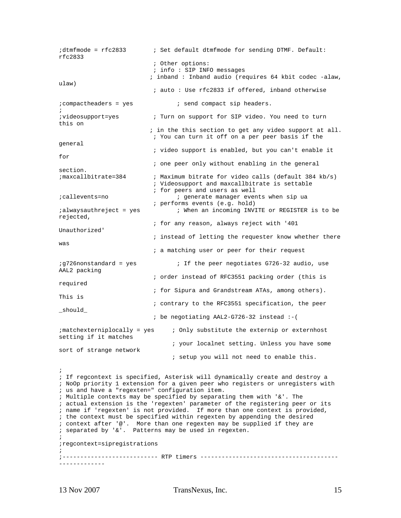```
;dtmfmode = rfc2833 ; Set default dtmfmode for sending DTMF. Default:
rfc2833 
                           ; Other options: 
                           ; info : SIP INFO messages 
                           ; inband : Inband audio (requires 64 kbit codec -alaw, 
ulaw) 
                           ; auto : Use rfc2833 if offered, inband otherwise 
; compactheaders = yes ; send compact sip headers.
; 
;videosupport=yes ; Turn on support for SIP video. You need to turn 
this on 
                           ; in the this section to get any video support at all. 
                           ; You can turn it off on a per peer basis if the 
general 
                           ; video support is enabled, but you can't enable it 
for 
                           ; one peer only without enabling in the general 
section. 
;maxcallbitrate=384 ; Maximum bitrate for video calls (default 384 kb/s) 
                            ; Videosupport and maxcallbitrate is settable 
                           ; for peers and users as well 
;callevents=no ; generate manager events when sip ua 
                           ; performs events (e.g. hold) 
;alwaysauthreject = yes ; When an incoming INVITE or REGISTER is to be 
rejected, 
                            ; for any reason, always reject with '401 
Unauthorized' 
                           ; instead of letting the requester know whether there 
was 
                            ; a matching user or peer for their request 
iq726nonstandard = yes i If the peer negotiates G726-32 audio, use
AAL2 packing 
                            ; order instead of RFC3551 packing order (this is 
required 
                            ; for Sipura and Grandstream ATAs, among others). 
This is 
                            ; contrary to the RFC3551 specification, the peer 
_should_ 
                            ; be negotiating AAL2-G726-32 instead :-( 
;matchexterniplocally = yes ; Only substitute the externip or externhost 
setting if it matches 
                                 ; your localnet setting. Unless you have some 
sort of strange network 
                                 ; setup you will not need to enable this. 
; 
; If regcontext is specified, Asterisk will dynamically create and destroy a 
; NoOp priority 1 extension for a given peer who registers or unregisters with 
; us and have a "regexten=" configuration item. 
; Multiple contexts may be specified by separating them with \&. The
; actual extension is the 'regexten' parameter of the registering peer or its 
; name if 'regexten' is not provided. If more than one context is provided, 
; the context must be specified within regexten by appending the desired 
; context after '@'. More than one regexten may be supplied if they are 
; separated by '&'. Patterns may be used in regexten. 
; 
;regcontext=sipregistrations 
; 
;--------------------------- RTP timers ---------------------------------------
-------------
```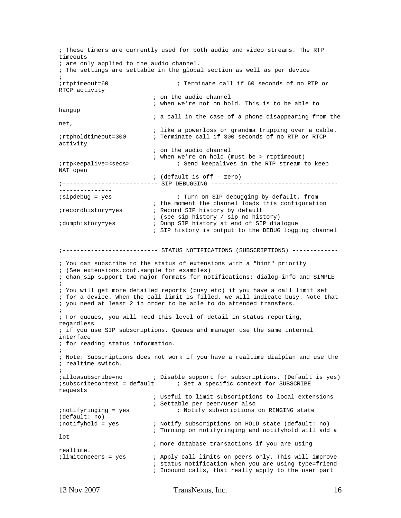; These timers are currently used for both audio and video streams. The RTP timeouts ; are only applied to the audio channel. ; The settings are settable in the global section as well as per device ; ;rtptimeout=60 ; Terminate call if 60 seconds of no RTP or RTCP activity ; on the audio channel ; when we're not on hold. This is to be able to hangup ; a call in the case of a phone disappearing from the net, ; like a powerloss or grandma tripping over a cable. ;rtpholdtimeout=300 ; Terminate call if 300 seconds of no RTP or RTCP activity ; on the audio channel ; when we're on hold (must be > rtptimeout) ;rtpkeepalive=<secs> ; Send keepalives in the RTP stream to keep NAT open ; (default is off - zero) ;--------------------------- SIP DEBUGGING ------------------------------------ --------------- ;sipdebug = yes ; Turn on SIP debugging by default, from ; the moment the channel loads this configuration ;recordhistory=yes ; Record SIP history by default ; (see sip history / sip no history) ;dumphistory=yes ; Dump SIP history at end of SIP dialogue ; SIP history is output to the DEBUG logging channel ;--------------------------- STATUS NOTIFICATIONS (SUBSCRIPTIONS) ------------- --------------- ; You can subscribe to the status of extensions with a "hint" priority ; (See extensions.conf.sample for examples) ; chan\_sip support two major formats for notifications: dialog-info and SIMPLE ; ; You will get more detailed reports (busy etc) if you have a call limit set ; for a device. When the call limit is filled, we will indicate busy. Note that ; you need at least 2 in order to be able to do attended transfers. ; ; For queues, you will need this level of detail in status reporting, regardless ; if you use SIP subscriptions. Queues and manager use the same internal interface ; for reading status information. ; ; Note: Subscriptions does not work if you have a realtime dialplan and use the ; realtime switch. ; ;allowsubscribe=no ; Disable support for subscriptions. (Default is yes) ;subscribecontext = default ; Set a specific context for SUBSCRIBE requests ; Useful to limit subscriptions to local extensions ; Settable per peer/user also ; notifyringing = yes ; Notify subscriptions on RINGING state (default: no)<br>;notifyhold = yes ; Notify subscriptions on HOLD state (default: no) ; Turning on notifyringing and notifyhold will add a lot ; more database transactions if you are using realtime. ;limitonpeers = yes ; Apply call limits on peers only. This will improve ; status notification when you are using type=friend ; Inbound calls, that really apply to the user part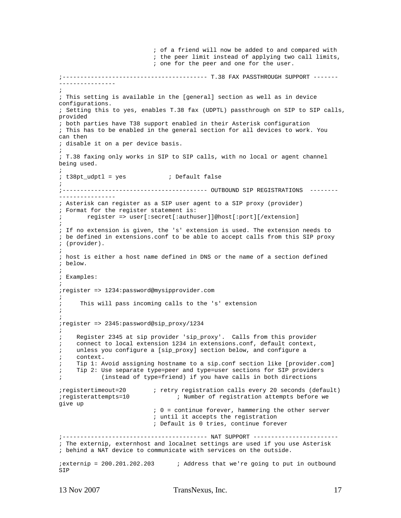; of a friend will now be added to and compared with ; the peer limit instead of applying two call limits, ; one for the peer and one for the user. ;----------------------------------------- T.38 FAX PASSTHROUGH SUPPORT ------- ---------------- ; ; This setting is available in the [general] section as well as in device configurations. ; Setting this to yes, enables T.38 fax (UDPTL) passthrough on SIP to SIP calls, provided ; both parties have T38 support enabled in their Asterisk configuration ; This has to be enabled in the general section for all devices to work. You can then ; disable it on a per device basis. ; ; T.38 faxing only works in SIP to SIP calls, with no local or agent channel being used. ; ; t38pt\_udptl = yes ; Default false ; ;----------------------------------------- OUTBOUND SIP REGISTRATIONS -------- ---------------- ; Asterisk can register as a SIP user agent to a SIP proxy (provider) ; Format for the register statement is: ; register => user[:secret[:authuser]]@host[:port][/extension] ; ; If no extension is given, the 's' extension is used. The extension needs to ; be defined in extensions.conf to be able to accept calls from this SIP proxy ; (provider). ; ; host is either a host name defined in DNS or the name of a section defined ; below. ; ; Examples: ; ;register => 1234:password@mysipprovider.com ; ; This will pass incoming calls to the 's' extension ; ; ;register => 2345:password@sip\_proxy/1234 ; ; Register 2345 at sip provider 'sip\_proxy'. Calls from this provider ; connect to local extension 1234 in extensions.conf, default context, ; unless you configure a [sip\_proxy] section below, and configure a ; context. ; Tip 1: Avoid assigning hostname to a sip.conf section like [provider.com] ; Tip 2: Use separate type=peer and type=user sections for SIP providers ; (instead of type=friend) if you have calls in both directions ;registertimeout=20 ; retry registration calls every 20 seconds (default) ;registerattempts=10 ; Number of registration attempts before we give up ; 0 = continue forever, hammering the other server ; until it accepts the registration ; Default is 0 tries, continue forever ;----------------------------------------- NAT SUPPORT ------------------------ ; The externip, externhost and localnet settings are used if you use Asterisk ; behind a NAT device to communicate with services on the outside. ;externip = 200.201.202.203 ; Address that we're going to put in outbound SIP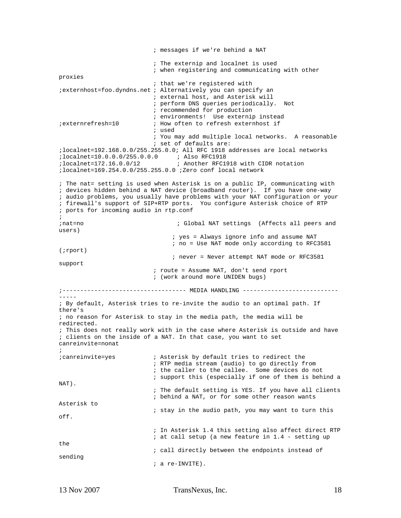; messages if we're behind a NAT ; The externip and localnet is used ; when registering and communicating with other proxies ; that we're registered with ;externhost=foo.dyndns.net ; Alternatively you can specify an ; external host, and Asterisk will ; perform DNS queries periodically. Not ; recommended for production ; environments! Use externip instead ;externrefresh=10 ; How often to refresh externhost if ; used ; You may add multiple local networks. A reasonable ; set of defaults are: ;localnet=192.168.0.0/255.255.0.0; All RFC 1918 addresses are local networks ;localnet=10.0.0.0/255.0.0.0 ; Also RFC1918<br>;localnet=172.16.0.0/12 ; Another RFC19 ; Another RFC1918 with CIDR notation ;localnet=169.254.0.0/255.255.0.0 ;Zero conf local network ; The nat= setting is used when Asterisk is on a public IP, communicating with ; devices hidden behind a NAT device (broadband router). If you have one-way ; audio problems, you usually have problems with your NAT configuration or your ; firewall's support of SIP+RTP ports. You configure Asterisk choice of RTP ; ports for incoming audio in rtp.conf ; ;nat=no ; Global NAT settings (Affects all peers and users) ; yes = Always ignore info and assume NAT ; no = Use NAT mode only according to RFC3581 (;rport) ; never = Never attempt NAT mode or RFC3581 support ; route = Assume NAT, don't send rport ; (work around more UNIDEN bugs) ;----------------------------------- MEDIA HANDLING --------------------------- ----- ; By default, Asterisk tries to re-invite the audio to an optimal path. If there's ; no reason for Asterisk to stay in the media path, the media will be redirected. ; This does not really work with in the case where Asterisk is outside and have ; clients on the inside of a NAT. In that case, you want to set canreinvite=nonat ; ;canreinvite=yes ; Asterisk by default tries to redirect the ; RTP media stream (audio) to go directly from ; the caller to the callee. Some devices do not ; support this (especially if one of them is behind a NAT). ; The default setting is YES. If you have all clients ; behind a NAT, or for some other reason wants Asterisk to ; stay in the audio path, you may want to turn this off. ; In Asterisk 1.4 this setting also affect direct RTP ; at call setup (a new feature in 1.4 - setting up the ; call directly between the endpoints instead of sending ; a re-INVITE).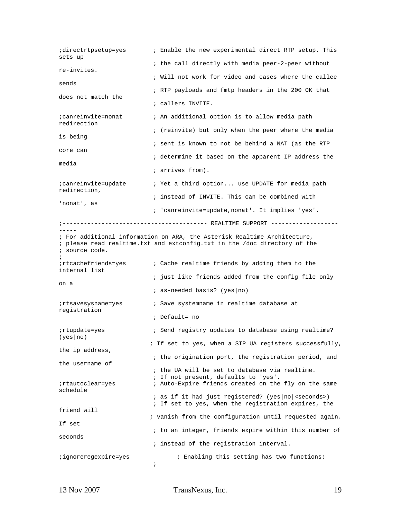| ;directrtpsetup=yes<br>sets up        |            | ; Enable the new experimental direct RTP setup. This<br>; the call directly with media peer-2-peer without                                            |  |  |  |  |
|---------------------------------------|------------|-------------------------------------------------------------------------------------------------------------------------------------------------------|--|--|--|--|
| re-invites.                           |            | ; Will not work for video and cases where the callee                                                                                                  |  |  |  |  |
| sends                                 |            |                                                                                                                                                       |  |  |  |  |
| does not match the                    |            | ; RTP payloads and fmtp headers in the 200 OK that                                                                                                    |  |  |  |  |
|                                       |            | ; callers INVITE.                                                                                                                                     |  |  |  |  |
| ; canreinvite=nonat<br>redirection    |            | ; An additional option is to allow media path                                                                                                         |  |  |  |  |
| is being                              |            | ; (reinvite) but only when the peer where the media                                                                                                   |  |  |  |  |
| core can                              |            | ; sent is known to not be behind a NAT (as the RTP                                                                                                    |  |  |  |  |
| media                                 |            | ; determine it based on the apparent IP address the                                                                                                   |  |  |  |  |
|                                       |            | ; arrives from).                                                                                                                                      |  |  |  |  |
| ; canreinvite=update<br>redirection,  |            | ; Yet a third option use UPDATE for media path                                                                                                        |  |  |  |  |
| 'nonat', as                           |            | ; instead of INVITE. This can be combined with                                                                                                        |  |  |  |  |
|                                       |            | ; 'canreinvite=update, nonat'. It implies 'yes'.                                                                                                      |  |  |  |  |
|                                       |            |                                                                                                                                                       |  |  |  |  |
| ; source code.                        |            | ; For additional information on ARA, the Asterisk Realtime Architecture,<br>; please read realtime.txt and extconfig.txt in the /doc directory of the |  |  |  |  |
| ;rtcachefriends=yes;<br>internal list |            | ; Cache realtime friends by adding them to the                                                                                                        |  |  |  |  |
| on a                                  |            | ; just like friends added from the config file only                                                                                                   |  |  |  |  |
|                                       |            | <i>i</i> as-needed basis? (yes $ no\rangle$                                                                                                           |  |  |  |  |
| ;rtsavesysname=yes<br>registration    |            | ; Save systemname in realtime database at                                                                                                             |  |  |  |  |
|                                       |            | ; Default= no                                                                                                                                         |  |  |  |  |
| ;rtupdate=yes<br>(yes no)             |            | ; Send registry updates to database using realtime?                                                                                                   |  |  |  |  |
| the ip address,                       |            | ; If set to yes, when a SIP UA registers successfully,                                                                                                |  |  |  |  |
| the username of                       |            | ; the origination port, the registration period, and                                                                                                  |  |  |  |  |
|                                       |            | ; the UA will be set to database via realtime.                                                                                                        |  |  |  |  |
| ;rtautoclear=yes<br>schedule          |            | ; If not present, defaults to 'yes'.<br>; Auto-Expire friends created on the fly on the same                                                          |  |  |  |  |
|                                       |            | ; as if it had just registered? (yes   no   < seconds > )<br>; If set to yes, when the registration expires, the                                      |  |  |  |  |
| friend will                           |            | ; vanish from the configuration until requested again.                                                                                                |  |  |  |  |
| If set                                |            | ; to an integer, friends expire within this number of                                                                                                 |  |  |  |  |
| seconds                               |            | ; instead of the registration interval.                                                                                                               |  |  |  |  |
| ;ignoreregexpire=yes                  |            | ; Enabling this setting has two functions:                                                                                                            |  |  |  |  |
|                                       | $\ddot{ }$ |                                                                                                                                                       |  |  |  |  |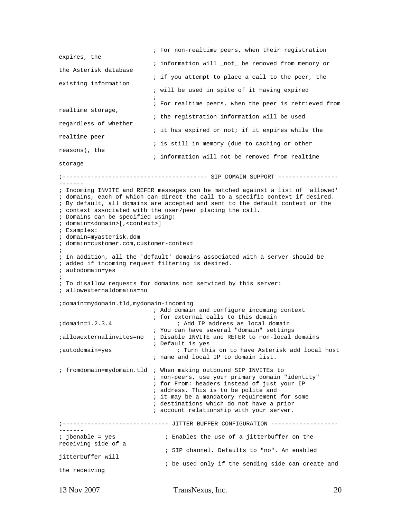```
 ; For non-realtime peers, when their registration 
expires, the 
                             ; information will _not_ be removed from memory or 
the Asterisk database 
                            ; if you attempt to place a call to the peer, the 
existing information 
                            ; will be used in spite of it having expired 
\mathcal{L}^{\text{max}} ; For realtime peers, when the peer is retrieved from 
realtime storage, 
                            ; the registration information will be used 
regardless of whether 
                            ; it has expired or not; if it expires while the 
realtime peer 
                            ; is still in memory (due to caching or other 
reasons), the 
                             ; information will not be removed from realtime 
storage 
;----------------------------------------- SIP DOMAIN SUPPORT -----------------
------- 
; Incoming INVITE and REFER messages can be matched against a list of 'allowed' 
; domains, each of which can direct the call to a specific context if desired. 
; By default, all domains are accepted and sent to the default context or the 
; context associated with the user/peer placing the call. 
; Domains can be specified using: 
; domain=<domain>[,<context>] 
; Examples: 
; domain=myasterisk.dom 
; domain=customer.com,customer-context 
; 
; In addition, all the 'default' domains associated with a server should be 
; added if incoming request filtering is desired. 
; autodomain=yes 
; 
; To disallow requests for domains not serviced by this server: 
; allowexternaldomains=no 
;domain=mydomain.tld,mydomain-incoming 
                            ; Add domain and configure incoming context 
; for external calls to this domain<br>domain=1.2.3.4 <br>i Add IP address as local dom
                                  ; Add IP address as local domain
                            ; You can have several "domain" settings 
;allowexternalinvites=no ; Disable INVITE and REFER to non-local domains 
                            ; Default is yes 
;autodomain=yes ; Turn this on to have Asterisk add local host 
                            ; name and local IP to domain list. 
; fromdomain=mydomain.tld ; When making outbound SIP INVITEs to 
                            ; non-peers, use your primary domain "identity" 
                            ; for From: headers instead of just your IP 
                            ; address. This is to be polite and 
                            ; it may be a mandatory requirement for some 
                            ; destinations which do not have a prior 
                             ; account relationship with your server. 
;------------------------------ JITTER BUFFER CONFIGURATION -------------------
------- 
; jbenable = yes ; Enables the use of a jitterbuffer on the
receiving side of a 
                               ; SIP channel. Defaults to "no". An enabled 
jitterbuffer will 
                               ; be used only if the sending side can create and 
the receiving
```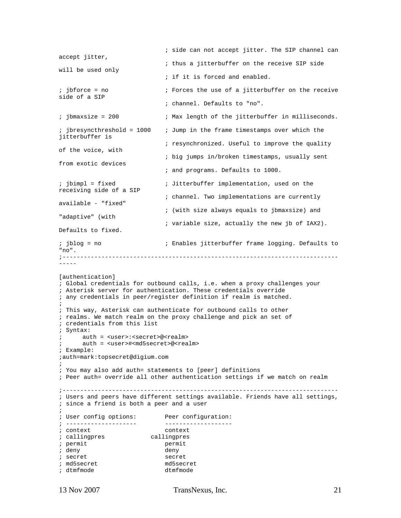```
 ; side can not accept jitter. The SIP channel can 
accept jitter, 
                             ; thus a jitterbuffer on the receive SIP side 
will be used only 
                             ; if it is forced and enabled. 
; jbforce = no ; Forces the use of a jitterbuffer on the receive
side of a SIP 
                             ; channel. Defaults to "no". 
; jbmaxsize = 200 ; Max length of the jitterbuffer in milliseconds.
; jbresyncthreshold = 1000 ; Jump in the frame timestamps over which the
jitterbuffer is 
                             ; resynchronized. Useful to improve the quality 
of the voice, with 
                             ; big jumps in/broken timestamps, usually sent 
from exotic devices 
                             ; and programs. Defaults to 1000. 
; jbimpl = fixed ; Jitterbuffer implementation, used on the
receiving side of a SIP 
                             ; channel. Two implementations are currently 
available - "fixed" 
                             ; (with size always equals to jbmaxsize) and 
"adaptive" (with 
                             ; variable size, actually the new jb of IAX2). 
Defaults to fixed. 
; jblog = no ; Enables jitterbuffer frame logging. Defaults to
"no". 
;------------------------------------------------------------------------------
----- 
[authentication] 
; Global credentials for outbound calls, i.e. when a proxy challenges your 
; Asterisk server for authentication. These credentials override 
; any credentials in peer/register definition if realm is matched. 
; 
; This way, Asterisk can authenticate for outbound calls to other 
; realms. We match realm on the proxy challenge and pick an set of 
; credentials from this list 
; Syntax: 
; auth = <user>:<secret>@<realm> 
      auth = <user>#<md5secret>@<realm>
; Example: 
;auth=mark:topsecret@digium.com 
; 
; You may also add auth= statements to [peer] definitions 
; Peer auth= override all other authentication settings if we match on realm 
;------------------------------------------------------------------------------ 
; Users and peers have different settings available. Friends have all settings, 
; since a friend is both a peer and a user 
; 
; User config options: Peer configuration: 
; -------------------- ------------------- 
; context context 
; callingpres callingpres 
; permit permit 
; deny deny 
; secret secret 
; md5secret md5secret 
; dtmfmode
```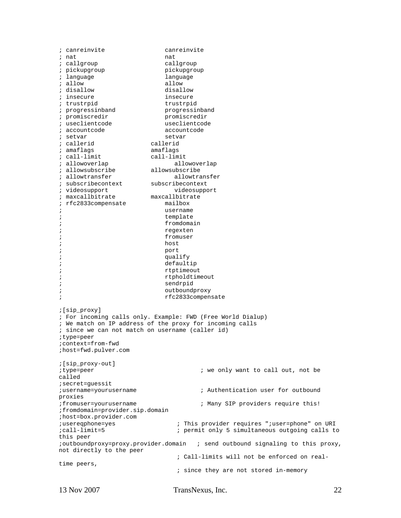; canreinvite canreinvite % nat<br>dia national national national national national national national national national national national nationa<br>dia national national national national national national national national national national national na  $i$  callgroup ; pickupgroup bickupgroup % language language language<br>
allow allow % allow allow allow allow<br>
allow disallow disallow % disallow disallow disallow<br>  $\frac{d}{dx}$  insecure insecure % insecure<br>i trustrpid trustrpid ; progressinband progressinband ; promiscredir promiscredir ; useclientcode useclientcode i accountcode accountcode ; setvar setvar % callerid callerid<br>  $\begin{array}{ccc} i & \text{small } \\ i & \text{amaflags} \end{array}$  $;$  amaflags ; call-limit call-limit ; allowoverlap allowoverlap % allowsubscribe allowsubscribe<br>
; allowtransfer allowtransfer % allowtransfer allowtrans<br>becontext aubscribecontext aubscribecontext ; subscribecontext subscribecontext ; videosupport ; maxcallbitrate maxcallbitrate ; rfc2833compensate mailbox ; username ; template ; fromdomain ; regexten ;<br>i fromuser<br>host ; host ; port ; the contract of the contract of the contract of the contract of the contract of the contract of the contract of the contract of the contract of the contract of the contract of the contract of the contract of the contract ; defaultip ; rtptimeout ; rtpholdtimeout ; sendrpid ; outboundproxy ; rfc2833compensate ;[sip\_proxy] ; For incoming calls only. Example: FWD (Free World Dialup) ; We match on IP address of the proxy for incoming calls ; since we can not match on username (caller id) ;type=peer ;context=from-fwd ;host=fwd.pulver.com ;[sip\_proxy-out] ;type=peer ; we only want to call out, not be called ;secret=guessit ;username=yourusername ; Authentication user for outbound proxies ;fromuser=yourusername ; Many SIP providers require this! ;fromdomain=provider.sip.domain ;host=box.provider.com ;usereqphone=yes ; This provider requires ";user=phone" on URI<br>;call-limit=5 ; permit only 5 simultaneous outgoing calls to ; permit only 5 simultaneous outgoing calls to this peer ;outboundproxy=proxy.provider.domain ; send outbound signaling to this proxy, not directly to the peer ; Call-limits will not be enforced on realtime peers, ; since they are not stored in-memory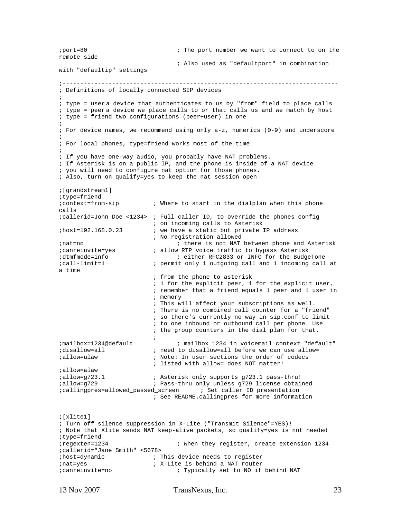```
;port=80 ; The port number we want to connect to on the 
remote side 
                                 ; Also used as "defaultport" in combination 
with "defaultip" settings 
;------------------------------------------------------------------------------ 
; Definitions of locally connected SIP devices 
; 
; type = user a device that authenticates to us by "from" field to place calls 
; type = peer a device we place calls to or that calls us and we match by host 
; type = friend two configurations (peer+user) in one 
; 
; For device names, we recommend using only a-z, numerics (0-9) and underscore 
; 
; For local phones, type=friend works most of the time 
; 
; If you have one-way audio, you probably have NAT problems. 
; If Asterisk is on a public IP, and the phone is inside of a NAT device 
; you will need to configure nat option for those phones. 
; Also, turn on qualify=yes to keep the nat session open 
;[grandstream1] 
;type=friend 
;context=from-sip ; Where to start in the dialplan when this phone 
calls 
;callerid=John Doe <1234> ; Full caller ID, to override the phones config 
; on incoming calls to Asterisk<br>ihost=192.168.0.23 <br>i we have a static but private 1
                         ; we have a static but private IP address
; No registration allowed<br>; there is not NAT
                                ; there is not NAT between phone and Asterisk
;canreinvite=yes ; allow RTP voice traffic to bypass Asterisk 
;dtmfmode=info ; either RFC2833 or INFO for the BudgeTone 
;call-limit=1 ; permit only 1 outgoing call and 1 incoming call at 
a time 
                           ; from the phone to asterisk 
                           ; 1 for the explicit peer, 1 for the explicit user, 
                           ; remember that a friend equals 1 peer and 1 user in 
                           ; memory 
                           ; This will affect your subscriptions as well. 
                           ; There is no combined call counter for a "friend" 
                           ; so there's currently no way in sip.conf to limit 
                           ; to one inbound or outbound call per phone. Use 
                           ; the group counters in the dial plan for that. 
\mathcal{L}^{\text{max}};mailbox=1234@default ; mailbox 1234 in voicemail context "default" 
;disallow=all ; need to disallow=all before we can use allow= 
;allow=ulaw ; Note: In user sections the order of codecs 
                          ; listed with allow= does NOT matter! 
iallow=alaw<br>iallow=q723.1
                         ; Asterisk only supports g723.1 pass-thru!
;allow=g729 ; Pass-thru only unless g729 license obtained 
;callingpres=allowed_passed_screen ; Set caller ID presentation 
                           ; See README.callingpres for more information 
;[xlite1] 
; Turn off silence suppression in X-Lite ("Transmit Silence"=YES)! 
; Note that Xlite sends NAT keep-alive packets, so qualify=yes is not needed 
;type=friend 
;regexten=1234 ; When they register, create extension 1234 
;callerid="Jane Smith" <5678> 
;host=dynamic ; This device needs to register
```
;nat=yes ; X-Lite is behind a NAT router

;canreinvite=no ; Typically set to NO if behind NAT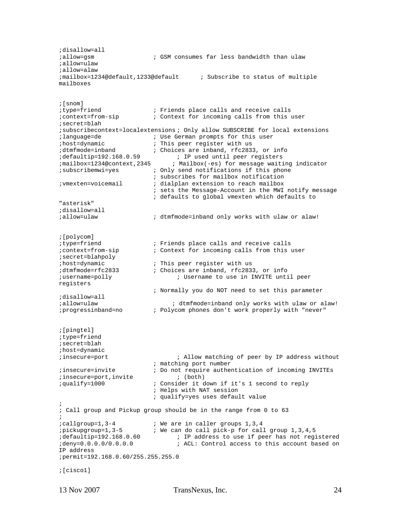```
;disallow=all<br>;allow=qsm
                           ; GSM consumes far less bandwidth than ulaw
;allow=ulaw 
;allow=alaw 
;mailbox=1234@default,1233@default ; Subscribe to status of multiple 
mailboxes 
;[snom] 
;type=friend ; Friends place calls and receive calls 
;context=from-sip ; Context for incoming calls from this user 
;secret=blah 
;subscribecontext=localextensions ; Only allow SUBSCRIBE for local extensions 
; language=de ; in the German prompts for this user<br>; host=dynamic ; This peer register with us
%; host=dynamic ; This peer register with us<br>; dtmfmode=inband ; Choices are inband, rfc283
                           ; Choices are inband, rfc2833, or info
;defaultip=192.168.0.59 ; IP used until peer registers 
;mailbox=1234@context,2345 ; Mailbox(-es) for message waiting indicator 
;subscribemwi=yes ; Only send notifications if this phone 
; subscribes for mailbox notification<br>; dialplan extension to reach mailbox<br>; dialplan extension to reach mailbox
                            ; dialplan extension to reach mailbox
                              ; sets the Message-Account in the MWI notify message 
                              ; defaults to global vmexten which defaults to 
"asterisk" 
;disallow=all 
;allow=ulaw ; dtmfmode=inband only works with ulaw or alaw! 
;[polycom]<br>;type=friend
                            ; Friends place calls and receive calls
;context=from-sip ; Context for incoming calls from this user 
;secret=blahpoly 
%; host=dynamic ; This peer register with us<br>; dtmfmode=rfc2833 ; Choices are inband, rfc283
;dtmfmode=rfc2833 ; Choices are inband, rfc2833, or info 
                                    ; Username to use in INVITE until peer
registers 
                             ; Normally you do NOT need to set this parameter 
;disallow=all 
;allow=ulaw ; dtmfmode=inband only works with ulaw or alaw! 
;progressinband=no ; Polycom phones don't work properly with "never" 
;[pingtel] 
;type=friend 
;secret=blah 
;host=dynamic 
;insecure=port ; Allow matching of peer by IP address without 
                              ; matching port number 
;insecure=invite ; Do not require authentication of incoming INVITEs 
;insecure=port,invite ; (both) 
;qualify=1000 ; Consider it down if it's 1 second to reply 
                              ; Helps with NAT session 
                              ; qualify=yes uses default value 
; 
; Call group and Pickup group should be in the range from 0 to 63 
; 
%;callgroup=1,3-4 ; We are in caller groups 1,3,4<br>;pickupgroup=1,3-5 ; We can do call pick-p for call
ipickupgroup=1,3-5 i We can do call pick-p for call group 1,3,4,5<br>idefaultip=192.168.0.60 i IP address to use if peer has not requi
                                  ; IP address to use if peer has not registered
;deny=0.0.0.0/0.0.0.0 ; ACL: Control access to this account based on 
IP address 
;permit=192.168.0.60/255.255.255.0 
;[cisco1]
```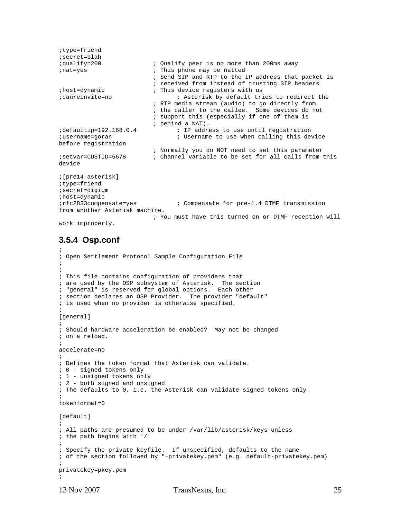```
;type=friend 
;secret=blah<br>;qualify=200
                            ; Qualify peer is no more than 200ms away
; nat=yes ; This phone may be natted
                             ; Send SIP and RTP to the IP address that packet is 
                             ; received from instead of trusting SIP headers 
%; host=dynamic ; This device registers with us<br>; canreinvite=no ; Asterisk by default tri
                                   ; Asterisk by default tries to redirect the
                             ; RTP media stream (audio) to go directly from 
                             ; the caller to the callee. Some devices do not 
                             ; support this (especially if one of them is 
; behind a NAT)<br>idefaultip=192.168.0.4 ; IP addre
                                   ; IP address to use until registration
; username=goran                       ; Username to use when calling this device
before registration 
                             ; Normally you do NOT need to set this parameter 
;setvar=CUSTID=5678 ; Channel variable to be set for all calls from this 
device 
;[pre14-asterisk] 
;type=friend 
;secret=digium 
;host=dynamic 
;rfc2833compensate=yes ; Compensate for pre-1.4 DTMF transmission 
from another Asterisk machine. 
                             ; You must have this turned on or DTMF reception will
```

```
work improperly.
```
#### **3.5.4 Osp.conf**

```
; 
; Open Settlement Protocol Sample Configuration File 
; 
; 
; This file contains configuration of providers that 
; are used by the OSP subsystem of Asterisk. The section 
; "general" is reserved for global options. Each other 
; section declares an OSP Provider. The provider "default" 
; is used when no provider is otherwise specified. 
; 
[general] 
; 
; Should hardware acceleration be enabled? May not be changed 
; on a reload. 
; 
accelerate=no 
; 
; Defines the token format that Asterisk can validate. 
; 0 - signed tokens only 
; 1 - unsigned tokens only 
; 2 - both signed and unsigned 
; The defaults to 0, i.e. the Asterisk can validate signed tokens only. 
; 
tokenformat=0 
[default]
; 
; All paths are presumed to be under /var/lib/asterisk/keys unless 
; the path begins with '/' 
; 
; Specify the private keyfile. If unspecified, defaults to the name 
; of the section followed by "-privatekey.pem" (e.g. default-privatekey.pem) 
; 
privatekey=pkey.pem 
;
```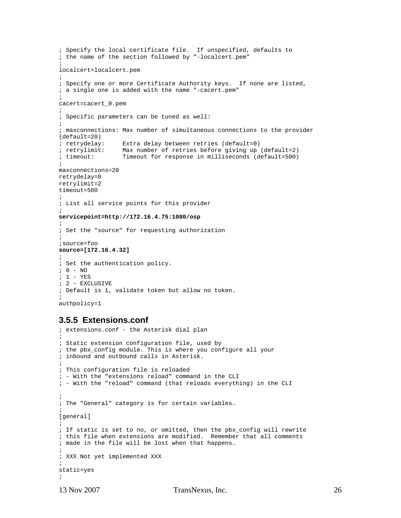```
; Specify the local certificate file. If unspecified, defaults to 
; the name of the section followed by "-localcert.pem" 
; 
localcert=localcert.pem 
; 
; Specify one or more Certificate Authority keys. If none are listed, 
; a single one is added with the name "-cacert.pem" 
; 
cacert=cacert_0.pem 
; 
; Specific parameters can be tuned as well: 
; 
; maxconnections: Max number of simultaneous connections to the provider 
(default=20)<br>; retrydelay:
                   Extra delay between retries (default=0)
; retrylimit: Max number of retries before giving up (default=2) 
; timeout: Timeout for response in milliseconds (default=500) 
; 
maxconnections=20 
retrydelay=0 
retrylimit=2 
timeout=500 
; 
; List all service points for this provider 
; 
servicepoint=http://172.16.4.75:1080/osp 
; 
; Set the "source" for requesting authorization 
; 
;source=foo 
source=[172.16.4.32] 
; 
; Set the authentication policy. 
; 0 - NO 
; 1 - YES 
; 2 - EXCLUSIVE 
; Default is 1, validate token but allow no token. 
; 
authpolicy=1
```
#### **3.5.5 Extensions.conf**

```
; extensions.conf - the Asterisk dial plan 
; 
; Static extension configuration file, used by 
; the pbx_config module. This is where you configure all your 
; inbound and outbound calls in Asterisk. 
; 
; This configuration file is reloaded 
; - With the "extensions reload" command in the CLI 
; - With the "reload" command (that reloads everything) in the CLI 
; 
; The "General" category is for certain variables. 
; 
[general] 
; 
; If static is set to no, or omitted, then the pbx_config will rewrite 
; this file when extensions are modified. Remember that all comments 
; made in the file will be lost when that happens. 
; 
; XXX Not yet implemented XXX 
; 
static=yes 
;
```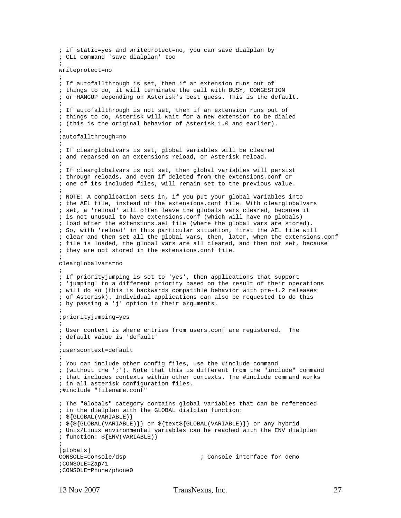```
; if static=yes and writeprotect=no, you can save dialplan by 
; CLI command 'save dialplan' too 
; 
writeprotect=no 
; 
; If autofallthrough is set, then if an extension runs out of 
; things to do, it will terminate the call with BUSY, CONGESTION 
; or HANGUP depending on Asterisk's best guess. This is the default. 
; 
; If autofallthrough is not set, then if an extension runs out of 
; things to do, Asterisk will wait for a new extension to be dialed 
; (this is the original behavior of Asterisk 1.0 and earlier). 
; 
;autofallthrough=no 
; 
; If clearglobalvars is set, global variables will be cleared 
; and reparsed on an extensions reload, or Asterisk reload. 
; 
; If clearglobalvars is not set, then global variables will persist 
; through reloads, and even if deleted from the extensions.conf or 
; one of its included files, will remain set to the previous value. 
; 
; NOTE: A complication sets in, if you put your global variables into 
; the AEL file, instead of the extensions.conf file. With clearglobalvars 
; set, a 'reload' will often leave the globals vars cleared, because it 
; is not unusual to have extensions.conf (which will have no globals) 
; load after the extensions.ael file (where the global vars are stored). 
; So, with 'reload' in this particular situation, first the AEL file will 
; clear and then set all the global vars, then, later, when the extensions.conf 
; file is loaded, the global vars are all cleared, and then not set, because 
; they are not stored in the extensions.conf file. 
; 
clearglobalvars=no 
; 
; If priorityjumping is set to 'yes', then applications that support 
; 'jumping' to a different priority based on the result of their operations 
; will do so (this is backwards compatible behavior with pre-1.2 releases 
; of Asterisk). Individual applications can also be requested to do this 
; by passing a 'j' option in their arguments. 
; 
;priorityjumping=yes 
; 
; User context is where entries from users.conf are registered. The 
; default value is 'default' 
; 
;userscontext=default 
; 
; You can include other config files, use the #include command 
; (without the ';'). Note that this is different from the "include" command 
; that includes contexts within other contexts. The #include command works 
; in all asterisk configuration files. 
;#include "filename.conf" 
; The "Globals" category contains global variables that can be referenced 
; in the dialplan with the GLOBAL dialplan function: 
; ${GLOBAL(VARIABLE)} 
; ${${GLOBAL(VARIABLE)}} or ${text${GLOBAL(VARIABLE)}} or any hybrid 
; Unix/Linux environmental variables can be reached with the ENV dialplan 
; function: ${ENV(VARIABLE)} 
; 
[globals]<br>CONSOLE=Console/dsp
                                        ; Console interface for demo
;CONSOLE=Zap/1 
;CONSOLE=Phone/phone0
```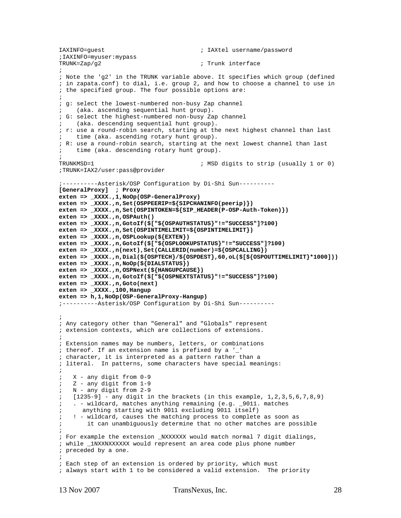```
IAXINFO=guest ; IAXtel username/password 
;IAXINFO=myuser:mypass 
                                        ; Trunk interface
; 
; Note the 'g2' in the TRUNK variable above. It specifies which group (defined 
; in zapata.conf) to dial, i.e. group 2, and how to choose a channel to use in 
; the specified group. The four possible options are: 
; 
; g: select the lowest-numbered non-busy Zap channel 
    (aka. ascending sequential hunt group).
; G: select the highest-numbered non-busy Zap channel 
     (aka. descending sequential hunt group).
; r: use a round-robin search, starting at the next highest channel than last 
    time (aka. ascending rotary hunt group).
; R: use a round-robin search, starting at the next lowest channel than last 
; time (aka. descending rotary hunt group). 
; 
TRUNKMSD=1 ; MSD digits to strip (usually 1 or 0) 
;TRUNK=IAX2/user:pass@provider 
;----------Asterisk/OSP Configuration by Di-Shi Sun---------- 
[GeneralProxy] ; Proxy 
exten => _XXXX.,1,NoOp(OSP-GeneralProxy) 
exten => _XXXX.,n,Set(OSPPEERIP=${SIPCHANINFO(peerip)}) 
exten => _XXXX.,n,Set(OSPINTOKEN=${SIP_HEADER(P-OSP-Auth-Token)}) 
exten => _XXXX.,n,OSPAuth() 
exten => _XXXX.,n,GotoIf($["${OSPAUTHSTATUS}"!="SUCCESS"]?100) 
exten => _XXXX.,n,Set(OSPINTIMELIMIT=${OSPINTIMELIMIT}) 
exten => _XXXX.,n,OSPLookup(${EXTEN}) 
exten => _XXXX.,n,GotoIf($["${OSPLOOKUPSTATUS}"!="SUCCESS"]?100) 
exten => _XXXX.,n(next),Set(CALLERID(number)=${OSPCALLING}) 
exten => _XXXX.,n,Dial(${OSPTECH}/${OSPDEST},60,oL($[${OSPOUTTIMELIMIT}*1000])) 
exten => _XXXX.,n,NoOp(${DIALSTATUS}) 
exten => _XXXX.,n,OSPNext(${HANGUPCAUSE}) 
exten => _XXXX.,n,GotoIf($["${OSPNEXTSTATUS}"!="SUCCESS"]?100) 
exten => _XXXX.,n,Goto(next) 
exten => _XXXX.,100,Hangup 
exten => h,1,NoOp(OSP-GeneralProxy-Hangup) 
;----------Asterisk/OSP Configuration by Di-Shi Sun---------- 
; 
; Any category other than "General" and "Globals" represent 
; extension contexts, which are collections of extensions. 
; 
; Extension names may be numbers, letters, or combinations 
; thereof. If an extension name is prefixed by a '_' 
; character, it is interpreted as a pattern rather than a 
; literal. In patterns, some characters have special meanings: 
; 
; X - any digit from 0-9 
; Z - any digit from 1-9 
; N - any digit from 2-9 
; [1235-9] - any digit in the brackets (in this example, 1,2,3,5,6,7,8,9) 
    ; . - wildcard, matches anything remaining (e.g. _9011. matches 
; anything starting with 9011 excluding 9011 itself) 
; ! - wildcard, causes the matching process to complete as soon as 
        it can unambiguously determine that no other matches are possible
; 
; For example the extension _NXXXXXX would match normal 7 digit dialings, 
; while _1NXXNXXXXXX would represent an area code plus phone number 
; preceded by a one. 
; 
; Each step of an extension is ordered by priority, which must 
; always start with 1 to be considered a valid extension. The priority
```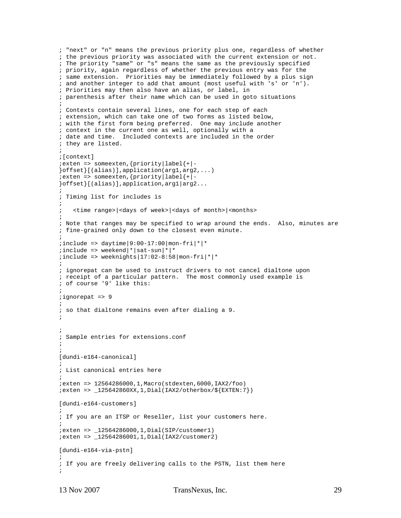```
; "next" or "n" means the previous priority plus one, regardless of whether 
; the previous priority was associated with the current extension or not. 
; The priority "same" or "s" means the same as the previously specified 
; priority, again regardless of whether the previous entry was for the 
; same extension. Priorities may be immediately followed by a plus sign 
; and another integer to add that amount (most useful with 's' or 'n'). 
; Priorities may then also have an alias, or label, in 
; parenthesis after their name which can be used in goto situations 
; 
; Contexts contain several lines, one for each step of each 
; extension, which can take one of two forms as listed below, 
; with the first form being preferred. One may include another 
; context in the current one as well, optionally with a 
; date and time. Included contexts are included in the order 
; they are listed. 
; 
;[context] 
;exten => someexten,{priority|label{+|-
}offset}[(alias)],application(arg1,arg2,...) 
i => someexten, \{priority |\text{label}| + | -}offset}[(alias)],application,arg1|arg2... 
; 
; Timing list for includes is 
; 
; <time range>|<days of week>|<days of month>|<months> 
; 
; Note that ranges may be specified to wrap around the ends. Also, minutes are 
; fine-grained only down to the closest even minute. 
; 
iinclude => daytime | 9:00-17:00 | mon-fri | * | *
iinclude => weekend|\cdot|sat-sun|\cdot|*
iinclude => weeknights|17:02-8:58|mon-fri*; 
; ignorepat can be used to instruct drivers to not cancel dialtone upon 
; receipt of a particular pattern. The most commonly used example is 
; of course '9' like this: 
; 
;ignorepat => 9 
; 
; so that dialtone remains even after dialing a 9. 
; 
; 
; Sample entries for extensions.conf 
; 
; 
[dundi-e164-canonical] 
; 
; List canonical entries here 
; 
;exten => 12564286000,1,Macro(stdexten,6000,IAX2/foo) 
iexten => \_125642860XX, 1, Dial(IAX2/otherbox/${EXTEN:7})
[dundi-e164-customers] 
; 
; If you are an ITSP or Reseller, list your customers here. 
; 
;exten => _12564286000,1,Dial(SIP/customer1) 
;exten => _12564286001,1,Dial(IAX2/customer2) 
[dundi-e164-via-pstn] 
; 
; If you are freely delivering calls to the PSTN, list them here 
;
```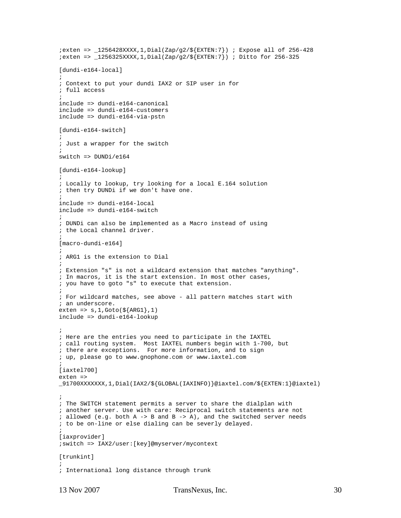```
iexten => \angle1256428XXXX,1,Dial(Zap/q2/${EXTEN:7}) ; Expose all of 256-428
iexten => \lceil 256325XXX, 1, Dial(Zap/q2/\${EXTEM}:7 \rceil) ; Ditto for 256-325
[dundi-e164-local] 
; 
; Context to put your dundi IAX2 or SIP user in for 
; full access 
; 
include => dundi-e164-canonical 
include => dundi-e164-customers 
include => dundi-e164-via-pstn 
[dundi-e164-switch]
; 
; Just a wrapper for the switch 
; 
switch => DUNDi/e164 
[dundi-e164-lookup] 
; 
; Locally to lookup, try looking for a local E.164 solution 
; then try DUNDi if we don't have one. 
; 
include => dundi-e164-local 
include => dundi-e164-switch 
; 
; DUNDi can also be implemented as a Macro instead of using 
; the Local channel driver. 
; 
[macro-dundi-e164] 
; 
; ARG1 is the extension to Dial 
; 
; Extension "s" is not a wildcard extension that matches "anything". 
; In macros, it is the start extension. In most other cases, 
; you have to goto "s" to execute that extension. 
; 
; For wildcard matches, see above - all pattern matches start with 
; an underscore. 
exten => s, 1, Goto(S{ARG1}, 1)include => dundi-e164-lookup 
; 
; Here are the entries you need to participate in the IAXTEL 
; call routing system. Most IAXTEL numbers begin with 1-700, but 
; there are exceptions. For more information, and to sign 
; up, please go to www.gnophone.com or www.iaxtel.com 
; 
[iaxtel700] 
exten => 
_91700XXXXXXX,1,Dial(IAX2/${GLOBAL(IAXINFO)}@iaxtel.com/${EXTEN:1}@iaxtel) 
; 
; The SWITCH statement permits a server to share the dialplan with 
; another server. Use with care: Reciprocal switch statements are not 
; allowed (e.g. both A -> B and B -> A), and the switched server needs 
; to be on-line or else dialing can be severly delayed. 
; 
[iaxprovider] 
;switch => IAX2/user:[key]@myserver/mycontext 
[trunkint]
; 
; International long distance through trunk
```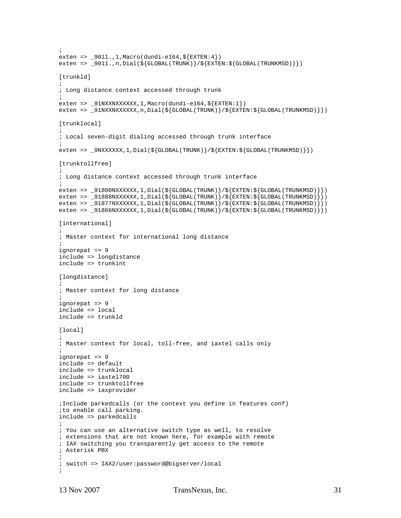```
; 
exten => _9011.,1,Macro(dundi-e164,${EXTEN:4}) 
exten => _9011.,n,Dial(${GLOBAL(TRUNK)}/${EXTEN:${GLOBAL(TRUNKMSD)}})
[trunkld] 
; 
; Long distance context accessed through trunk 
; 
exten => _91NXXNXXXXXX,1, Macro(dundi-e164, ${EXTEN:1})
exten => _91NXXNXXXXXX,n,Dial(${GLOBAL(TRUNK)}/${EXTEN:${GLOBAL(TRUNKMSD)}})
[trunklocal] 
; 
; Local seven-digit dialing accessed through trunk interface 
; 
exten => _9NXXXXXX,1,Dial(${GLOBAL(TRUNK)}/${EXTEN:${GLOBAL(TRUNKMSD)}})
[trunktollfree] 
; 
; Long distance context accessed through trunk interface 
; 
exten => _91800NXXXXXX,1,Dial(${GLOBAL(TRUNK)}/${EXTEN:${GLOBAL(TRUNKMSD)}}) 
exten => _91888NXXXXXX,1,Dial(${GLOBAL(TRUNK)}/${EXTEN:${GLOBAL(TRUNKMSD)}})
exten => _91877NXXXXXX,1,Dial(${GLOBAL(TRUNK)}/${EXTEN:${GLOBAL(TRUNKMSD)}}) 
exten => _91866NXXXXXX,1,Dial(${GLOBAL(TRUNK)}/${EXTEN:${GLOBAL(TRUNKMSD)}}) 
[international] 
; 
; Master context for international long distance 
; 
ignorepat => 9 
include => longdistance 
include => trunkint 
[longdistance] 
; 
; Master context for long distance 
; 
ignorepat => 9 
include => local 
include => trunkld 
[local]
; 
; Master context for local, toll-free, and iaxtel calls only 
; 
ignorepat => 9 
include => default 
include => trunklocal 
include => iaxtel700 
include => trunktollfree 
include => iaxprovider 
;Include parkedcalls (or the context you define in features conf) 
;to enable call parking. 
include => parkedcalls 
; 
; You can use an alternative switch type as well, to resolve 
; extensions that are not known here, for example with remote 
; IAX switching you transparently get access to the remote 
; Asterisk PBX 
; 
; switch => IAX2/user:password@bigserver/local 
;
```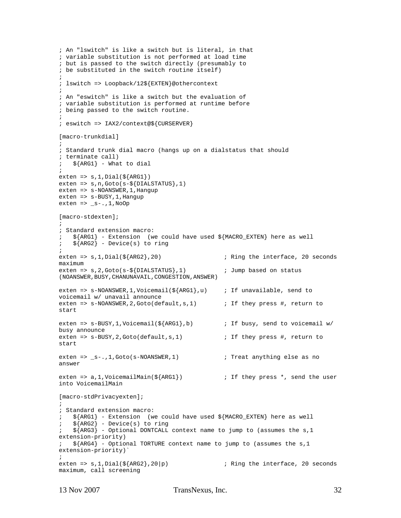```
; An "lswitch" is like a switch but is literal, in that 
; variable substitution is not performed at load time 
; but is passed to the switch directly (presumably to 
; be substituted in the switch routine itself) 
; 
; lswitch => Loopback/12${EXTEN}@othercontext 
; 
; An "eswitch" is like a switch but the evaluation of 
; variable substitution is performed at runtime before 
; being passed to the switch routine. 
; 
; eswitch => IAX2/context@${CURSERVER} 
[macro-trunkdial] 
; 
; Standard trunk dial macro (hangs up on a dialstatus that should 
; terminate call) 
;\ ${ARG1} - What to dial
; 
exten => s, 1, Data({\frac{8}{ARG1}})exten => s,n,Goto(s-${DIALSTATUS},1) 
exten => s-NOANSWER, 1, Hangup
exten => s-BUSY, 1, Hanqup
exten => _s-.,1,NoOp
[macro-stdexten]; 
; 
; Standard extension macro: 
; ${ARG1} - Extension (we could have used ${MACRO_EXTEN} here as well 
    ${ARG2} - Device(s) to ring
; 
exten => s, 1, Dial(${ARG2}, 20) \qquad \qquad ; Ring the interface, 20 seconds
maximum 
exten => s, 2, Goto(s-${DIALSTATUS}, 1) j i Jump based on status
(NOANSWER,BUSY,CHANUNAVAIL,CONGESTION,ANSWER) 
exten => s-NOANSWER,1,Voicemail(${ARG1},u) ; If unavailable, send to 
voicemail w/ unavail announce 
exten => s-NOANSWER, 2, Goto(default, s, 1) ; If they press #, return to
start 
exten => s-BUSY, 1, Voicemail({\S{ARG1}, b}) ; If busy, send to voicemail w/
busy announce 
exten => s-BUSY, 2, Goto(default, s, 1) \qquad \qquad ; If they press #, return to
start 
exten => _s-.,1,Goto(s-NOANSWER,1) \qquad \qquad ; Treat anything else as no
answer 
exten => a, 1, VoicemailMain(${ARG1}) ; If they press *, send the user
into VoicemailMain 
[macro-stdPrivacyexten]; 
; 
; Standard extension macro: 
; ${ARG1} - Extension (we could have used ${MACRO_EXTEN} here as well 
    $ \{ARG2\} - Device(s) to ring
; \sin \frac{\pi}{4} > \sin \frac{\pi}{4} > Optional DONTCALL context name to jump to (assumes the s, 1
extension-priority) 
    \{\text{ARG4}\} - Optional TORTURE context name to jump to (assumes the s, 1
extension-priority)` 
; 
exten => s, 1, \text{Dial}(\frac{s}{ARG2}, 20|p) ; Ring the interface, 20 seconds
maximum, call screening
```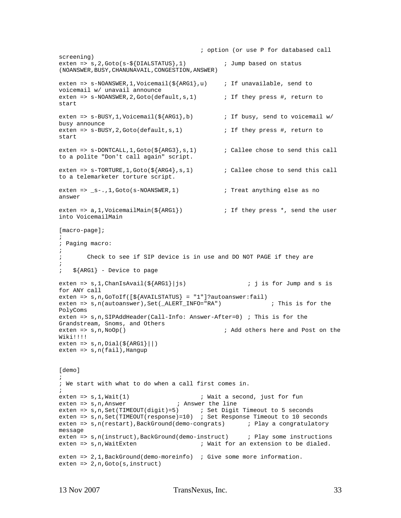```
 ; option (or use P for databased call 
screening) 
exten => s, 2, Goto(s-5\{DIALSTATUS\}, 1) ; Jump based on status
(NOANSWER,BUSY,CHANUNAVAIL,CONGESTION,ANSWER) 
exten => s-NOANSWER, 1, Voicemail(\frac{5}{4}RG1}, u) ; If unavailable, send to
voicemail w/ unavail announce 
exten => s-NOANSWER, 2, Goto(default, s, 1) ; If they press #, return to
start 
exten => s-BUSY, 1, Voicemail(${ARG1}, b) ; If busy, send to voicemail w/
busy announce 
exten => s-BUSY, 2, Goto(default, s, 1) \qquad ; If they press #, return to
start 
exten => s-DONTCALL,1,Goto(\frac{s}{ARG3}, s, 1) ; Callee chose to send this call
to a polite "Don't call again" script. 
exten => s-TORTURE, 1, Goto(\frac{s}{ARG4}, s, 1) ; Callee chose to send this call
to a telemarketer torture script. 
exten => _s-.,1,Goto(s-NOANSWER,1) ; Treat anything else as no
answer 
exten => a, 1, VoicemailMain(S\{ARGI\}) ; If they press *, send the user
into VoicemailMain 
[macro-page]; 
; 
; Paging macro: 
; 
; Check to see if SIP device is in use and DO NOT PAGE if they are 
; 
; ${ARG1} - Device to page 
exten => s, 1, ChanIsAvail(${ARG1}|js) \qquad \qquad ; j is for Jump and s is
for ANY call 
exten => s, n, GoToIf(\{\frac{s}{a}VAILSTATUS} = "1"]?autoanswer:fail)
exten => s,n(autoanswer),Set(_ALERT_INFO="RA") \qquad ; This is for the
PolyComs 
exten => s,n,SIPAddHeader(Call-Info: Answer-After=0) ; This is for the 
Grandstream, Snoms, and Others 
exten => s,n,NoOp() \qquad \qquad ; Add others here and Post on the
Wiki!!!!
exten => s, n, Data({\S{ARG1}}||)exten => s, n(fail), Hangup
[demo] 
; 
; We start with what to do when a call first comes in. 
; 
exten => s,1,Wait(1) \qquad \qquad ; Wait a second, just for fun
exten => s,n,Answer                     ; Answer the line
exten => s,n, Set(TIMEOUT(digit)=5) ; Set Digit Timeout to 5 seconds
exten => s,n,Set(TIMEOUT(response)=10) ; Set Response Timeout to 10 seconds 
exten => s,n(restart), BackGround(demo-congrats) ; Play a congratulatory
message 
exten => s,n(instruct),BackGround(demo-instruct) ; Play some instructions 
exten => s,n, WaitExten \qquad \qquad ; Wait for an extension to be dialed.
exten => 2,1,BackGround(demo-moreinfo) ; Give some more information. 
exten => 2,n,Goto(s,instruct)
```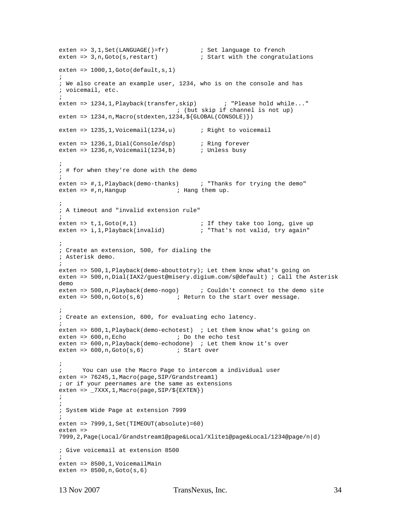```
exten => 3,1,Set(LANGUAGE()=fr) ; Set language to french
exten => 3,n,Goto(s,restart) ; Start with the congratulations 
exten => 1000, 1, Goto(default, s, 1)
; 
; We also create an example user, 1234, who is on the console and has 
; voicemail, etc. 
; 
exten => 1234,1,Playback(transfer,skip) ; "Please hold while..." 
                                  ; (but skip if channel is not up) 
exten => 1234, n, Macro(stdexten, 1234, ${GLOBAL(CONSOLE)})
exten => 1235,1,Voicemail(1234,u) ; Right to voicemail 
exten => 1236,1,Dial(Console/dsp) ; Ring forever 
exten => 1236,n,Voicemail(1234,b) ; Unless busy
; 
; # for when they're done with the demo 
; 
exten => #,1,Playback(demo-thanks) ; "Thanks for trying the demo"<br>exten => #,n,Hangup ; Hang them up.
                        i Hang them up.
; 
; A timeout and "invalid extension rule" 
; 
exten => t,1,Goto(#,1) \qquad \qquad ; If they take too long, give up
exten => i,1,Playback(invalid) \qquad \qquad ; "That's not valid, try again"
; 
; Create an extension, 500, for dialing the 
; Asterisk demo. 
; 
exten => 500,1,Playback(demo-abouttotry); Let them know what's going on 
exten => 500,n,Dial(IAX2/guest@misery.digium.com/s@default) ; Call the Asterisk 
demo 
exten => 500, n, Playback(demo-nogo) ; Couldn't connect to the demo site
exten => 500, n, Goto(s, 6) ; Return to the start over message.
; 
; Create an extension, 600, for evaluating echo latency. 
; 
exten => 600,1,Playback(demo-echotest) ; Let them know what's going on 
exten => 600, n, Echo ; Do the echo test
exten => 600,n,Playback(demo-echodone) ; Let them know it's over 
exten => 600, n, Goto(s, 6) ; Start over
; 
; You can use the Macro Page to intercom a individual user 
exten => 76245,1, Macro(page, SIP/Grandstream1)
; or if your peernames are the same as extensions 
exten => _7XXX, 1, Macro(page, SIP/${EXTEN})
; 
; 
; System Wide Page at extension 7999 
; 
exten => 7999,1,Set(TIMEOUT(absolute)=60) 
exten => 
7999,2,Page(Local/Grandstream1@page&Local/Xlite1@page&Local/1234@page/n|d) 
; Give voicemail at extension 8500 
; 
exten => 8500,1,VoicemailMain 
exten => 8500,n,Goto(s,6)
```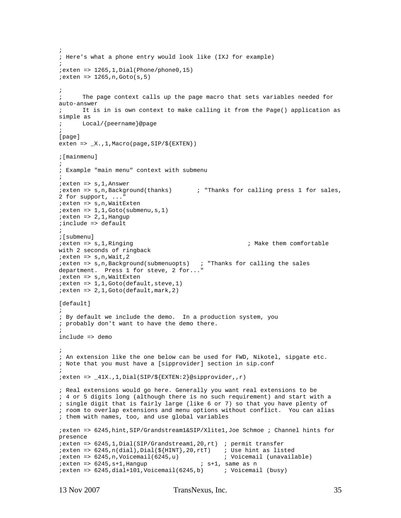```
; 
; Here's what a phone entry would look like (IXJ for example) 
; 
iexten => 1265, 1, Dial(Phone/phone0, 15)
i exten => 1265, n, Goto(s, 5)
; 
      The page context calls up the page macro that sets variables needed for
auto-answer 
      It is in is own context to make calling it from the Page() application as
simple as 
; Local/{peername}@page 
; 
[page] 
exten => _X.,1, Macro(page, SIP/\S{EXTEN})
;[mainmenu] 
; 
; Example "main menu" context with submenu 
; 
;exten => s,1,Answer 
;exten => s,n,Background(thanks) ; "Thanks for calling press 1 for sales, 
2 for support, ..." 
;exten => s,n,WaitExten 
i exten => 1,1,Goto(submenu,s,1)
iexten => 2,1, Hangup
;include => default 
; 
%;[submenu]<br>;exten => s,1,Ringing
                                                       ; Make them comfortable
with 2 seconds of ringback 
;exten => s,n,Wait,2 
;exten => s,n,Background(submenuopts) ; "Thanks for calling the sales 
department. Press 1 for steve, 2 for..." 
;exten => s,n,WaitExten 
i exten => 1, 1, Goto(default, steve, 1)
i exten => 2, 1, Goto(default, mark, 2)
[default]
; 
; By default we include the demo. In a production system, you 
; probably don't want to have the demo there. 
; 
include => demo 
; 
; An extension like the one below can be used for FWD, Nikotel, sipgate etc. 
; Note that you must have a [sipprovider] section in sip.conf 
; 
iexten => _41X.,1,Dial(SIP/\S{EXTEN:2}@sipprovider,,r)
; Real extensions would go here. Generally you want real extensions to be 
; 4 or 5 digits long (although there is no such requirement) and start with a 
; single digit that is fairly large (like 6 or 7) so that you have plenty of 
; room to overlap extensions and menu options without conflict. You can alias 
; them with names, too, and use global variables 
;exten => 6245,hint,SIP/Grandstream1&SIP/Xlite1,Joe Schmoe ; Channel hints for 
presence 
;exten => 6245,1,Dial(SIP/Grandstream1,20,rt) ; permit transfer 
i => 6245, n(dial), Dial(${HINT}, 20, rtT) ; Use hint as listed
;exten => 6245,n,Voicemail(6245,u) ; Voicemail (unavailable) 
i exten => 6245, s+1, Hangup i s+1, same as n
iexten => 6245, dial+101, Voicemail(6245, b) i Voicemail (busy)
```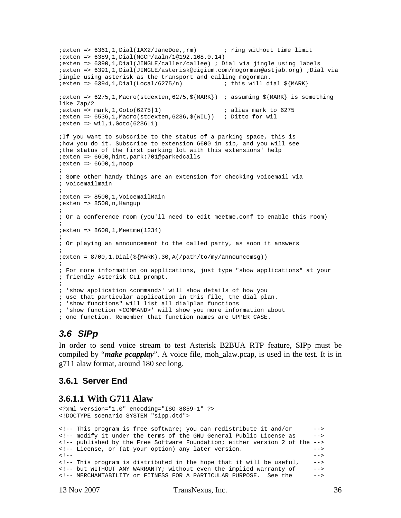```
;exten => 6361,1,Dial(IAX2/JaneDoe,,rm) ; ring without time limit 
;exten => 6389,1,Dial(MGCP/aaln/1@192.168.0.14) 
;exten => 6390,1,Dial(JINGLE/caller/callee) ; Dial via jingle using labels 
;exten => 6391,1,Dial(JINGLE/asterisk@digium.com/mogorman@astjab.org) ;Dial via 
jingle using asterisk as the transport and calling mogorman. 
i => 6394, 1, Dial (Local / 6275/n) ; this will dial $ {MARK};exten => 6275,1,Macro(stdexten,6275,${MARK}) ; assuming ${MARK} is something 
like Zap/2 
i exten => mark, 1, Goto(6275|1) i alias mark to 6275
iexten => 6536,1, Macro(stdexten, 6236, $\{WIL\}) ; Ditto for wil
; exten => wil, 1, Goto(6236|1)
;If you want to subscribe to the status of a parking space, this is 
;how you do it. Subscribe to extension 6600 in sip, and you will see 
;the status of the first parking lot with this extensions' help 
;exten => 6600,hint,park:701@parkedcalls 
iexten => 6600, 1,noop
; 
; Some other handy things are an extension for checking voicemail via 
; voicemailmain 
; 
;exten => 8500,1,VoicemailMain 
iexten => 8500, n, Hangup
; 
; Or a conference room (you'll need to edit meetme.conf to enable this room) 
; 
;exten => 8600,1,Meetme(1234) 
; 
; Or playing an announcement to the called party, as soon it answers 
; 
i = 8700, 1, Dial(\frac{5}{MARK}, 30, A(/path/to/my/announcemsg))
; 
; For more information on applications, just type "show applications" at your 
; friendly Asterisk CLI prompt. 
; 
; 'show application <command>' will show details of how you 
; use that particular application in this file, the dial plan. 
; 'show functions" will list all dialplan functions 
; 'show function <COMMAND>' will show you more information about 
; one function. Remember that function names are UPPER CASE.
```
### *3.6 SIPp*

In order to send voice stream to test Asterisk B2BUA RTP feature, SIPp must be compiled by "*make pcapplay*". A voice file, moh\_alaw.pcap, is used in the test. It is in g711 alaw format, around 180 sec long.

#### **3.6.1 Server End**

#### **3.6.1.1 With G711 Alaw**

```
<?xml version="1.0" encoding="ISO-8859-1" ?> 
<!DOCTYPE scenario SYSTEM "sipp.dtd"> 
<!-- This program is free software; you can redistribute it and/or --> 
<!-- modify it under the terms of the GNU General Public License as --> 
<!-- published by the Free Software Foundation; either version 2 of the --> 
<!-- License, or (at your option) any later version. --> 
<!-- --> 
<!-- This program is distributed in the hope that it will be useful, --> 
<!-- but WITHOUT ANY WARRANTY; without even the implied warranty of --> 
<!-- MERCHANTABILITY or FITNESS FOR A PARTICULAR PURPOSE. See the -->
```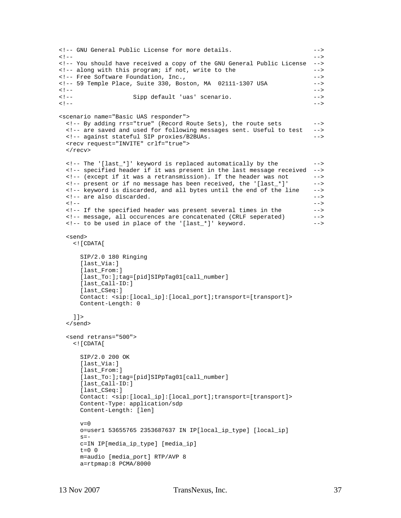```
<!-- GNU General Public License for more details. --> 
<!-- --> 
<!-- You should have received a copy of the GNU General Public License --> 
<!-- along with this program; if not, write to the --> 
<!-- Free Software Foundation, Inc.,
<!-- 59 Temple Place, Suite 330, Boston, MA 02111-1307 USA --> 
<!-- --> 
<!-- Sipp default 'uas' scenario. --> 
<!-- --> 
<scenario name="Basic UAS responder"> 
  <!-- By adding rrs="true" (Record Route Sets), the route sets --> 
  <!-- are saved and used for following messages sent. Useful to test --> 
  <!-- against stateful SIP proxies/B2BUAs. --> 
  <recv request="INVITE" crlf="true"> 
 \langle recv>
  <!-- The '[last_*]' keyword is replaced automatically by the --> 
  <!-- specified header if it was present in the last message received --> 
  <!-- (except if it was a retransmission). If the header was not --> 
  <!-- present or if no message has been received, the '[last_*]' --> 
  <!-- keyword is discarded, and all bytes until the end of the line --> 
 <!-- are also discarded. \overline{\phantom{a}}\langle !-- \sim -->
  <!-- If the specified header was present several times in the --> 
  <!-- message, all occurences are concatenated (CRLF seperated) --> 
 \langle -1 - 0 \rangle to be used in place of the '[last_*]' keyword.
  <send> 
    <![CDATA[ 
     SIP/2.0 180 Ringing 
     [last_Via:] 
      [last_From:] 
      [last_To:];tag=[pid]SIPpTag01[call_number] 
      [last_Call-ID:] 
      [last_CSeq:] 
     Contact: <sip:[local_ip]:[local_port];transport=[transport]> 
     Content-Length: 0 
    ]]> 
  </send> 
  <send retrans="500"> 
    <![CDATA[ 
     SIP/2.0 200 OK 
     [last_Via:] 
      [last_From:] 
      [last_To:];tag=[pid]SIPpTag01[call_number] 
      [last_Call-ID:] 
      [last_CSeq:] 
     Contact: <sip:[local_ip]:[local_port];transport=[transport]> 
      Content-Type: application/sdp 
     Content-Length: [len] 
    v=0 o=user1 53655765 2353687637 IN IP[local_ip_type] [local_ip] 
    s=- c=IN IP[media_ip_type] [media_ip] 
    t=0 0
     m=audio [media_port] RTP/AVP 8 
     a=rtpmap:8 PCMA/8000
```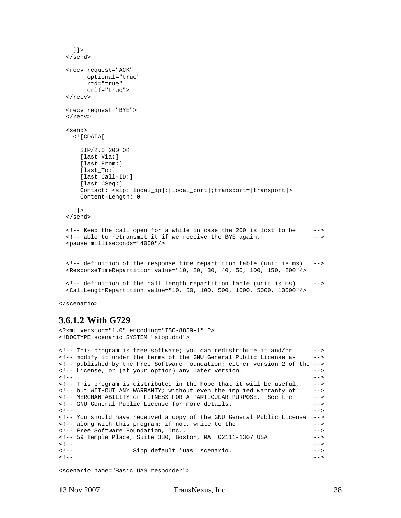```
]] >
 </send> 
 <recv request="ACK" 
        optional="true" 
        rtd="true" 
        crlf="true"> 
\langle /recv>
 <recv request="BYE"> 
\langle recv>
 <send> 
   <![CDATA[ 
     SIP/2.0 200 OK 
     [last_Via:] 
     [last_From:] 
     [last_To:] 
     [last_Call-ID:] 
     [last_CSeq:] 
     Contact: <sip:[local_ip]:[local_port];transport=[transport]> 
     Content-Length: 0 
  11> </send> 
\langle-- Keep the call open for a while in case the 200 is lost to be \sim--\langle-- able to retransmit it if we receive the BYE again.
\langle -1, -2, 1 \rangle able to retransmit it if we receive the BYE again.
 <pause milliseconds="4000"/> 
 <!-- definition of the response time repartition table (unit is ms) --> 
 <ResponseTimeRepartition value="10, 20, 30, 40, 50, 100, 150, 200"/> 
 <!-- definition of the call length repartition table (unit is ms) --> 
 <CallLengthRepartition value="10, 50, 100, 500, 1000, 5000, 10000"/>
```
</scenario>

#### **3.6.1.2 With G729**

<?xml version="1.0" encoding="ISO-8859-1" ?> <!DOCTYPE scenario SYSTEM "sipp.dtd">

```
<!-- This program is free software; you can redistribute it and/or --> 
<!-- modify it under the terms of the GNU General Public License as --> 
<!-- published by the Free Software Foundation; either version 2 of the --> 
<!-- License, or (at your option) any later version. --> 
<!-- --> 
<!-- This program is distributed in the hope that it will be useful, --> 
<!-- but WITHOUT ANY WARRANTY; without even the implied warranty of --> 
<!-- MERCHANTABILITY or FITNESS FOR A PARTICULAR PURPOSE. See the --> 
<!-- GNU General Public License for more details. --> 
<!-- --> 
<!-- You should have received a copy of the GNU General Public License --> 
<!-- along with this program; if not, write to the --><br><!-- Free Software Foundation Inc
<!-- Free Software Foundation, Inc.,
<!-- 59 Temple Place, Suite 330, Boston, MA 02111-1307 USA --> 
<!-- --> 
<!-- Sipp default 'uas' scenario. --> 
<!-- -->
```

```
<scenario name="Basic UAS responder">
```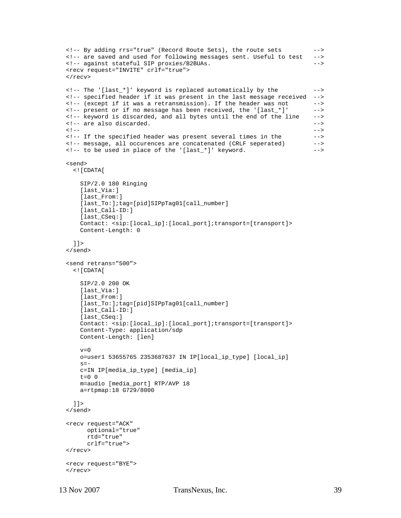```
 <!-- By adding rrs="true" (Record Route Sets), the route sets --> 
  <!-- are saved and used for following messages sent. Useful to test --> 
  <!-- against stateful SIP proxies/B2BUAs. --> 
  <recv request="INVITE" crlf="true"> 
 \langle recv>
  <!-- The '[last_*]' keyword is replaced automatically by the --> 
  <!-- specified header if it was present in the last message received --> 
  <!-- (except if it was a retransmission). If the header was not --> 
  <!-- present or if no message has been received, the '[last_*]' --> 
  <!-- keyword is discarded, and all bytes until the end of the line --> 
  <!-- are also discarded. --> 
\langle !-- \sim -->
  <!-- If the specified header was present several times in the --> 
 <!-- message, all occurences are concatenated (CRLF seperated) --><br><!-- to be used in place of the '[last_*]' keyword. -->
 <!-- to be used in place of the '[last_*]' keyword.
  <send> 
    <![CDATA[ 
      SIP/2.0 180 Ringing 
      [last_Via:] 
      [last_From:] 
       [last_To:];tag=[pid]SIPpTag01[call_number] 
       [last_Call-ID:] 
      [last_CSeq:] 
      Contact: <sip:[local_ip]:[local_port];transport=[transport]> 
      Content-Length: 0 
    ]]> 
  </send> 
  <send retrans="500"> 
    <![CDATA[ 
      SIP/2.0 200 OK 
      [last_Via:] 
       [last_From:] 
       [last_To:];tag=[pid]SIPpTag01[call_number] 
       [last_Call-ID:] 
      [last_CSeq:] 
      Contact: <sip:[local_ip]:[local_port];transport=[transport]> 
      Content-Type: application/sdp 
      Content-Length: [len] 
     v=0 o=user1 53655765 2353687637 IN IP[local_ip_type] [local_ip] 
     s=- c=IN IP[media_ip_type] [media_ip] 
     t=0 0
      m=audio [media_port] RTP/AVP 18 
      a=rtpmap:18 G729/8000 
    ]]> 
  </send> 
  <recv request="ACK" 
        optional="true" 
        rtd="true" 
        crlf="true"> 
 \langle recv>
  <recv request="BYE"> 
 \langle recv>
```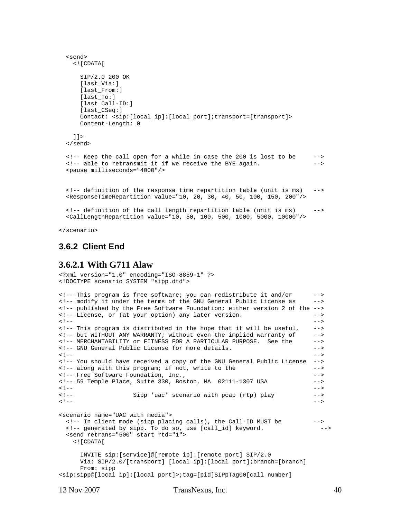```
 <send> 
   <![CDATA[ 
    SIP/2.0 200 OK 
     [last_Via:] 
     [last_From:] 
     [last_To:] 
     [last_Call-ID:] 
     [last_CSeq:] 
     Contact: <sip:[local_ip]:[local_port];transport=[transport]> 
     Content-Length: 0 
  11 </send> 
 <!-- Keep the call open for a while in case the 200 is lost to be --> 
 <!-- able to retransmit it if we receive the BYE again. --> 
 <pause milliseconds="4000"/> 
 <!-- definition of the response time repartition table (unit is ms) --> 
 <ResponseTimeRepartition value="10, 20, 30, 40, 50, 100, 150, 200"/> 
\leq -- definition of the call length repartition table (unit is ms) -->
 <CallLengthRepartition value="10, 50, 100, 500, 1000, 5000, 10000"/>
```
</scenario>

#### **3.6.2 Client End**

#### **3.6.2.1 With G711 Alaw**

```
<?xml version="1.0" encoding="ISO-8859-1" ?> 
<!DOCTYPE scenario SYSTEM "sipp.dtd"> 
<!-- This program is free software; you can redistribute it and/or --> 
<!-- modify it under the terms of the GNU General Public License as --> 
<!-- published by the Free Software Foundation; either version 2 of the --> 
<!-- License, or (at your option) any later version. --> 
<!-- --> 
<!-- This program is distributed in the hope that it will be useful, --> 
<!-- but WITHOUT ANY WARRANTY; without even the implied warranty of --> 
<!-- MERCHANTABILITY or FITNESS FOR A PARTICULAR PURPOSE. See the --> 
<!-- GNU General Public License for more details. --> 
<!-- --> 
<!-- You should have received a copy of the GNU General Public License --> 
<!-- along with this program; if not, write to the --> 
<!-- Free Software Foundation, Inc., --> 
<!-- 59 Temple Place, Suite 330, Boston, MA 02111-1307 USA --> 
<!-- --> 
<!-- Sipp 'uac' scenario with pcap (rtp) play --> 
<!-- --> 
<scenario name="UAC with media"> 
  <!-- In client mode (sipp placing calls), the Call-ID MUST be --> 
  <!-- generated by sipp. To do so, use [call_id] keyword. --> 
  <send retrans="500" start_rtd="1"> 
    <![CDATA[ 
     INVITE sip:[service]@[remote_ip]:[remote_port] SIP/2.0 
     Via: SIP/2.0/[transport] [local_ip]:[local_port];branch=[branch] 
     From: sipp 
<sip:sipp@[local_ip]:[local_port]>;tag=[pid]SIPpTag00[call_number]
```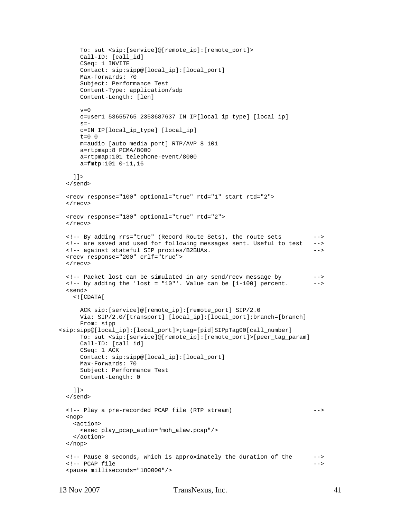```
 To: sut <sip:[service]@[remote_ip]:[remote_port]> 
      Call-ID: [call_id] 
      CSeq: 1 INVITE 
      Contact: sip:sipp@[local_ip]:[local_port] 
      Max-Forwards: 70 
      Subject: Performance Test 
      Content-Type: application/sdp 
      Content-Length: [len] 
     v=0 o=user1 53655765 2353687637 IN IP[local_ip_type] [local_ip] 
     s=- c=IN IP[local_ip_type] [local_ip] 
     t=0 0
      m=audio [auto_media_port] RTP/AVP 8 101 
      a=rtpmap:8 PCMA/8000 
      a=rtpmap:101 telephone-event/8000 
      a=fmtp:101 0-11,16 
   ]] >
  </send> 
  <recv response="100" optional="true" rtd="1" start_rtd="2"> 
  </recv> 
  <recv response="180" optional="true" rtd="2"> 
 \langle recv>
  <!-- By adding rrs="true" (Record Route Sets), the route sets --> 
 <!-- are saved and used for following messages sent. Useful to test
  <!-- against stateful SIP proxies/B2BUAs. --> 
  <recv response="200" crlf="true"> 
 \langle recv>
  <!-- Packet lost can be simulated in any send/recv message by --> 
 \langle -1, -1, 0 \rangle adding the 'lost = "10"'. Value can be [1-100] percent. \sim <send> 
    <![CDATA[ 
      ACK sip:[service]@[remote_ip]:[remote_port] SIP/2.0 
      Via: SIP/2.0/[transport] [local_ip]:[local_port];branch=[branch] 
      From: sipp 
<sip:sipp@[local_ip]:[local_port]>;tag=[pid]SIPpTag00[call_number] 
      To: sut <sip:[service]@[remote_ip]:[remote_port]>[peer_tag_param] 
      Call-ID: [call_id] 
      CSeq: 1 ACK 
      Contact: sip:sipp@[local_ip]:[local_port] 
      Max-Forwards: 70 
      Subject: Performance Test 
      Content-Length: 0 
    ]]> 
  </send> 
  <!-- Play a pre-recorded PCAP file (RTP stream) --> 
  <nop> 
    <action> 
      <exec play_pcap_audio="moh_alaw.pcap"/> 
    </action> 
  </nop> 
  <!-- Pause 8 seconds, which is approximately the duration of the --> 
 <!-- PCAP file -->
  <pause milliseconds="180000"/>
```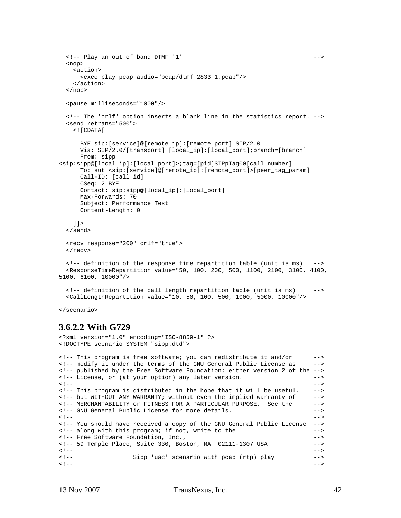```
 <!-- Play an out of band DTMF '1' --> 
   <nop> 
     <action> 
      <exec play_pcap_audio="pcap/dtmf_2833_1.pcap"/> 
     </action> 
  \langle/nop>
   <pause milliseconds="1000"/> 
   <!-- The 'crlf' option inserts a blank line in the statistics report. --> 
   <send retrans="500"> 
     <![CDATA[ 
       BYE sip:[service]@[remote_ip]:[remote_port] SIP/2.0 
       Via: SIP/2.0/[transport] [local_ip]:[local_port];branch=[branch] 
       From: sipp 
<sip:sipp@[local_ip]:[local_port]>;tag=[pid]SIPpTag00[call_number] 
       To: sut <sip:[service]@[remote_ip]:[remote_port]>[peer_tag_param] 
       Call-ID: [call_id] 
      CSeq: 2 BYE 
      Contact: sip:sipp@[local_ip]:[local_port] 
      Max-Forwards: 70 
       Subject: Performance Test 
      Content-Length: 0 
   |] >
   </send> 
   <recv response="200" crlf="true"> 
  \langlerecv>
   <!-- definition of the response time repartition table (unit is ms) --> 
   <ResponseTimeRepartition value="50, 100, 200, 500, 1100, 2100, 3100, 4100, 
5100, 6100, 10000"/> 
   <!-- definition of the call length repartition table (unit is ms) --> 
   <CallLengthRepartition value="10, 50, 100, 500, 1000, 5000, 10000"/>
```
</scenario>

#### **3.6.2.2 With G729**

```
<?xml version="1.0" encoding="ISO-8859-1" ?> 
<!DOCTYPE scenario SYSTEM "sipp.dtd"> 
<!-- This program is free software; you can redistribute it and/or --> 
<!-- modify it under the terms of the GNU General Public License as --> 
<!-- published by the Free Software Foundation; either version 2 of the --> 
<!-- License, or (at your option) any later version. --> 
<!-- --> 
<!-- This program is distributed in the hope that it will be useful, --> 
<!-- but WITHOUT ANY WARRANTY; without even the implied warranty of --> 
<!-- MERCHANTABILITY or FITNESS FOR A PARTICULAR PURPOSE. See the --> 
<!-- GNU General Public License for more details. --> 
<!-- --> 
<!-- You should have received a copy of the GNU General Public License --> 
<!-- along with this program; if not, write to the --> 
<!-- Free Software Foundation, Inc., --> 
<!-- 59 Temple Place, Suite 330, Boston, MA 02111-1307 USA --> 
<!-- --> 
<!-- Sipp 'uac' scenario with pcap (rtp) play --> 
<!-- -->
```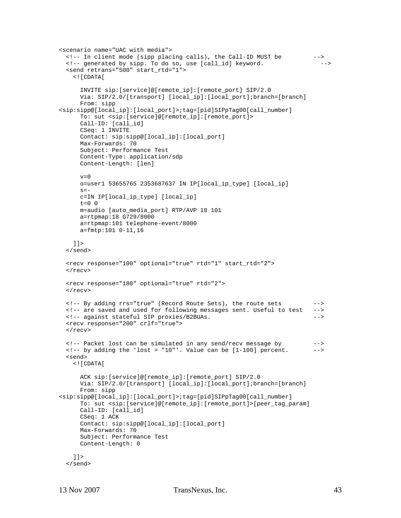```
<scenario name="UAC with media"> 
  <!-- In client mode (sipp placing calls), the Call-ID MUST be --> 
 <!-- generated by sipp. To do so, use [call_id] keyword.
  <send retrans="500" start_rtd="1"> 
     <![CDATA[ 
       INVITE sip:[service]@[remote_ip]:[remote_port] SIP/2.0 
       Via: SIP/2.0/[transport] [local_ip]:[local_port];branch=[branch] 
       From: sipp 
<sip:sipp@[local_ip]:[local_port]>;tag=[pid]SIPpTag00[call_number] 
       To: sut <sip:[service]@[remote_ip]:[remote_port]> 
       Call-ID: [call_id] 
       CSeq: 1 INVITE 
      Contact: sip:sipp@[local_ip]:[local_port] 
      Max-Forwards: 70 
      Subject: Performance Test 
      Content-Type: application/sdp 
      Content-Length: [len] 
     v=0 o=user1 53655765 2353687637 IN IP[local_ip_type] [local_ip] 
     s=- c=IN IP[local_ip_type] [local_ip] 
      t=0 0
      m=audio [auto_media_port] RTP/AVP 18 101 
      a=rtpmap:18 G729/8000 
      a=rtpmap:101 telephone-event/8000 
      a=fmtp:101 0-11,16 
    ]]> 
   </send> 
  <recv response="100" optional="true" rtd="1" start_rtd="2"> 
 \langle recv>
  <recv response="180" optional="true" rtd="2"> 
 \langle /recv>
   <!-- By adding rrs="true" (Record Route Sets), the route sets --> 
   <!-- are saved and used for following messages sent. Useful to test --> 
   <!-- against stateful SIP proxies/B2BUAs. --> 
   <recv response="200" crlf="true"> 
 \langlerecv>
  <!-- Packet lost can be simulated in any send/recv message by --> 
 \langle -1, -1, 0 \rangle adding the 'lost = "10"'. Value can be [1-100] percent. \langle -2, 0 \rangle <send> 
    <![CDATA[ 
       ACK sip:[service]@[remote_ip]:[remote_port] SIP/2.0 
       Via: SIP/2.0/[transport] [local_ip]:[local_port];branch=[branch] 
       From: sipp 
<sip:sipp@[local_ip]:[local_port]>;tag=[pid]SIPpTag00[call_number] 
       To: sut <sip:[service]@[remote_ip]:[remote_port]>[peer_tag_param] 
       Call-ID: [call_id] 
      CSeq: 1 ACK 
      Contact: sip:sipp@[local_ip]:[local_port] 
      Max-Forwards: 70 
      Subject: Performance Test 
      Content-Length: 0 
    ]]> 
   </send>
```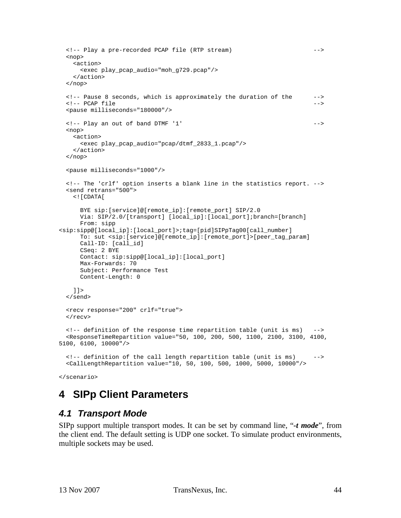```
 <!-- Play a pre-recorded PCAP file (RTP stream) --> 
  <nop> 
    <action> 
      <exec play_pcap_audio="moh_g729.pcap"/> 
    </action> 
  </nop> 
  <!-- Pause 8 seconds, which is approximately the duration of the --> 
 <!-- PCAP file -->
  <pause milliseconds="180000"/> 
  <!-- Play an out of band DTMF '1' --> 
  <nop> 
    <action> 
      <exec play_pcap_audio="pcap/dtmf_2833_1.pcap"/> 
    </action> 
  </nop> 
  <pause milliseconds="1000"/> 
  <!-- The 'crlf' option inserts a blank line in the statistics report. --> 
  <send retrans="500"> 
    <![CDATA[ 
      BYE sip:[service]@[remote_ip]:[remote_port] SIP/2.0 
      Via: SIP/2.0/[transport] [local_ip]:[local_port];branch=[branch] 
      From: sipp 
<sip:sipp@[local_ip]:[local_port]>;tag=[pid]SIPpTag00[call_number] 
      To: sut <sip:[service]@[remote_ip]:[remote_port]>[peer_tag_param] 
      Call-ID: [call_id] 
      CSeq: 2 BYE 
      Contact: sip:sipp@[local_ip]:[local_port] 
      Max-Forwards: 70 
      Subject: Performance Test 
      Content-Length: 0 
   ]] >
  </send> 
  <recv response="200" crlf="true"> 
 \langle recv>
  <!-- definition of the response time repartition table (unit is ms) --> 
  <ResponseTimeRepartition value="50, 100, 200, 500, 1100, 2100, 3100, 4100, 
5100, 6100, 10000"/> 
  <!-- definition of the call length repartition table (unit is ms) --> 
  <CallLengthRepartition value="10, 50, 100, 500, 1000, 5000, 10000"/>
```

```
</scenario>
```
## **4 SIPp Client Parameters**

### *4.1 Transport Mode*

SIPp support multiple transport modes. It can be set by command line, "*-t mode*", from the client end. The default setting is UDP one socket. To simulate product environments, multiple sockets may be used.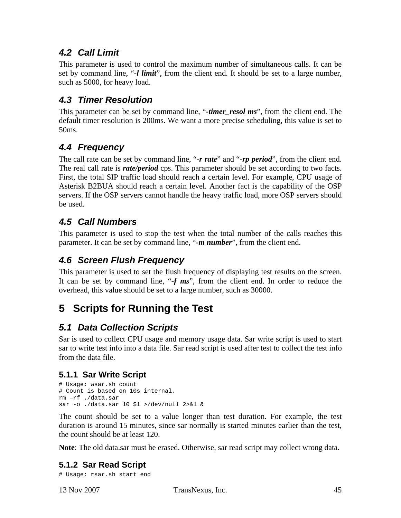### *4.2 Call Limit*

This parameter is used to control the maximum number of simultaneous calls. It can be set by command line, "*-l limit*", from the client end. It should be set to a large number, such as 5000, for heavy load.

### *4.3 Timer Resolution*

This parameter can be set by command line, "*-timer resol ms*", from the client end. The default timer resolution is 200ms. We want a more precise scheduling, this value is set to 50ms.

### *4.4 Frequency*

The call rate can be set by command line, "*-r rate*" and "*-rp period*", from the client end. The real call rate is *rate/period* cps. This parameter should be set according to two facts. First, the total SIP traffic load should reach a certain level. For example, CPU usage of Asterisk B2BUA should reach a certain level. Another fact is the capability of the OSP servers. If the OSP servers cannot handle the heavy traffic load, more OSP servers should be used.

### *4.5 Call Numbers*

This parameter is used to stop the test when the total number of the calls reaches this parameter. It can be set by command line, "*-m number*", from the client end.

### *4.6 Screen Flush Frequency*

This parameter is used to set the flush frequency of displaying test results on the screen. It can be set by command line, "*-f ms*", from the client end. In order to reduce the overhead, this value should be set to a large number, such as 30000.

## **5 Scripts for Running the Test**

### *5.1 Data Collection Scripts*

Sar is used to collect CPU usage and memory usage data. Sar write script is used to start sar to write test info into a data file. Sar read script is used after test to collect the test info from the data file.

### **5.1.1 Sar Write Script**

```
# Usage: wsar.sh count 
# Count is based on 10s internal. 
rm –rf ./data.sar 
sar -o ./data.sar 10 $1 >/dev/null 2>&1 &
```
The count should be set to a value longer than test duration. For example, the test duration is around 15 minutes, since sar normally is started minutes earlier than the test, the count should be at least 120.

**Note**: The old data.sar must be erased. Otherwise, sar read script may collect wrong data.

### **5.1.2 Sar Read Script**

# Usage: rsar.sh start end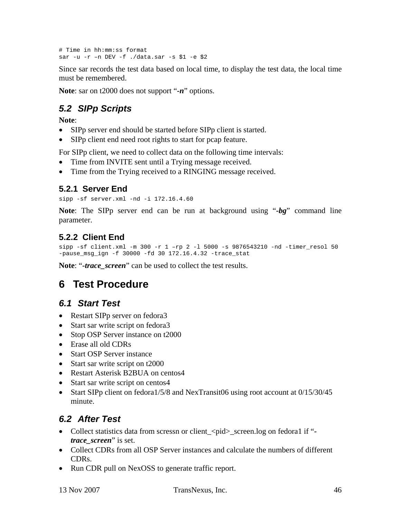# Time in hh:mm:ss format sar -u -r –n DEV -f ./data.sar -s \$1 -e \$2

Since sar records the test data based on local time, to display the test data, the local time must be remembered.

**Note**: sar on t2000 does not support "*-n*" options.

## *5.2 SIPp Scripts*

**Note**:

- SIPp server end should be started before SIPp client is started.
- SIPp client end need root rights to start for pcap feature.

For SIPp client, we need to collect data on the following time intervals:

- Time from INVITE sent until a Trying message received.
- Time from the Trying received to a RINGING message received.

### **5.2.1 Server End**

sipp -sf server.xml -nd -i 172.16.4.60

**Note**: The SIPp server end can be run at background using "*-bg*" command line parameter.

### **5.2.2 Client End**

```
sipp -sf client.xml -m 300 -r 1 -r 2 -1 5000 -s 9876543210 -nd -timer resol 50
-pause_msg_ign -f 30000 -fd 30 172.16.4.32 -trace_stat
```
**Note**: "*-trace\_screen*" can be used to collect the test results.

## **6 Test Procedure**

### *6.1 Start Test*

- Restart SIPp server on fedora3
- Start sar write script on fedora3
- Stop OSP Server instance on t2000
- Erase all old CDRs
- Start OSP Server instance
- Start sar write script on t2000
- Restart Asterisk B2BUA on centos4
- Start sar write script on centos4
- Start SIPp client on fedora1/5/8 and NexTransit06 using root account at 0/15/30/45 minute.

### *6.2 After Test*

- Collect statistics data from scressn or client\_<pid>\_screen.log on fedora1 if " *trace\_screen*" is set.
- Collect CDRs from all OSP Server instances and calculate the numbers of different CDRs.
- Run CDR pull on NexOSS to generate traffic report.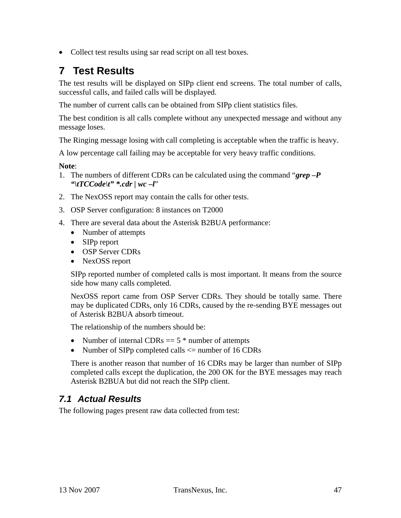• Collect test results using sar read script on all test boxes.

## **7 Test Results**

The test results will be displayed on SIPp client end screens. The total number of calls, successful calls, and failed calls will be displayed.

The number of current calls can be obtained from SIPp client statistics files.

The best condition is all calls complete without any unexpected message and without any message loses.

The Ringing message losing with call completing is acceptable when the traffic is heavy.

A low percentage call failing may be acceptable for very heavy traffic conditions.

#### **Note**:

- 1. The numbers of different CDRs can be calculated using the command "*grep –P "\tTCCode\t" \*.cdr | wc –l*"
- 2. The NexOSS report may contain the calls for other tests.
- 3. OSP Server configuration: 8 instances on T2000
- 4. There are several data about the Asterisk B2BUA performance:
	- Number of attempts
	- SIPp report
	- OSP Server CDRs
	- NexOSS report

SIPp reported number of completed calls is most important. It means from the source side how many calls completed.

NexOSS report came from OSP Server CDRs. They should be totally same. There may be duplicated CDRs, only 16 CDRs, caused by the re-sending BYE messages out of Asterisk B2BUA absorb timeout.

The relationship of the numbers should be:

- Number of internal CDRs  $=$  5  $*$  number of attempts
- Number of SIPp completed calls  $\leq$  number of 16 CDRs

There is another reason that number of 16 CDRs may be larger than number of SIPp completed calls except the duplication, the 200 OK for the BYE messages may reach Asterisk B2BUA but did not reach the SIPp client.

### *7.1 Actual Results*

The following pages present raw data collected from test: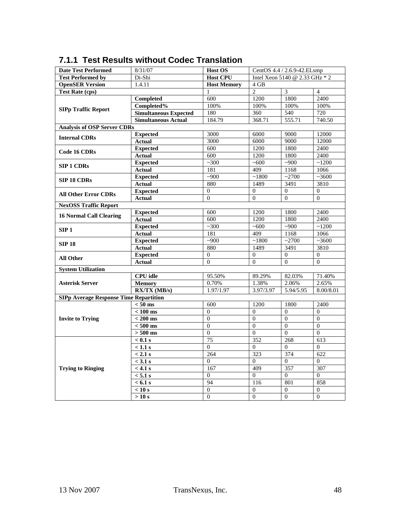| <b>Date Test Performed</b>                    | 8/31/07                      | <b>Host OS</b>     | CentOS 4.4 / 2.6.9-42.ELsmp    |                  |                  |
|-----------------------------------------------|------------------------------|--------------------|--------------------------------|------------------|------------------|
| <b>Test Performed by</b>                      | Di-Shi                       | <b>Host CPU</b>    | Intel Xeon 5140 @ 2.33 GHz * 2 |                  |                  |
| <b>OpenSER Version</b>                        | 1.4.11                       | <b>Host Memory</b> | $4$ GB                         |                  |                  |
| <b>Test Rate (cps)</b>                        |                              | 1                  | $\overline{2}$                 | 3                | $\overline{4}$   |
|                                               | <b>Completed</b>             | 600                | 1200                           | 1800             | 2400             |
|                                               | Completed%                   | 100%               | 100%                           | 100%             | 100%             |
| <b>SIPp Traffic Report</b>                    | <b>Simultaneous Expected</b> | 180                | 360                            | 540              | 720              |
|                                               | <b>Simultaneous Actual</b>   | 184.79             | 368.71                         | 555.71           | 740.50           |
| <b>Analysis of OSP Server CDRs</b>            |                              |                    |                                |                  |                  |
| <b>Internal CDRs</b>                          | <b>Expected</b>              | 3000               | 6000                           | 9000             | 12000            |
|                                               | <b>Actual</b>                | 3000               | 6000                           | 9000             | 12000            |
| <b>Code 16 CDRs</b>                           | <b>Expected</b>              | 600                | 1200                           | 1800             | 2400             |
|                                               | <b>Actual</b>                | 600                | 1200                           | 1800             | 2400             |
| <b>SIP 1 CDRs</b>                             | <b>Expected</b>              | ~100               | ~100                           | ~1000            | ~1200            |
|                                               | <b>Actual</b>                | 181                | 409                            | 1168             | 1066             |
|                                               | <b>Expected</b>              | ~1000              | ~1800                          | ~2700            | ~1000            |
| <b>SIP 18 CDRs</b>                            | <b>Actual</b>                | 880                | 1489                           | 3491             | 3810             |
|                                               | <b>Expected</b>              | $\overline{0}$     | $\overline{0}$                 | $\overline{0}$   | $\overline{0}$   |
| <b>All Other Error CDRs</b>                   | <b>Actual</b>                | $\overline{0}$     | $\overline{0}$                 | $\mathbf{0}$     | $\overline{0}$   |
| <b>NexOSS Traffic Report</b>                  |                              |                    |                                |                  |                  |
| <b>16 Normal Call Clearing</b>                | <b>Expected</b>              | 600                | 1200                           | 1800             | 2400             |
|                                               | <b>Actual</b>                | 600                | 1200                           | 1800             | 2400             |
| SIP1                                          | <b>Expected</b>              | ~100               | ~100                           | ~1000            | ~1200            |
|                                               | <b>Actual</b>                | 181                | 409                            | 1168             | 1066             |
| <b>SIP 18</b>                                 | <b>Expected</b>              | ~1000              | ~1800                          | ~2700            | ~100             |
|                                               | <b>Actual</b>                | 880                | 1489                           | 3491             | 3810             |
| <b>All Other</b>                              | <b>Expected</b>              | $\boldsymbol{0}$   | $\boldsymbol{0}$               | $\mathbf{0}$     | $\boldsymbol{0}$ |
|                                               | <b>Actual</b>                | $\overline{0}$     | $\mathbf{0}$                   | $\mathbf{0}$     | $\overline{0}$   |
| <b>System Utilization</b>                     |                              |                    |                                |                  |                  |
|                                               | <b>CPU</b> idle              | 95.50%             | 89.29%                         | 82.03%           | 71.40%           |
| <b>Asterisk Server</b>                        | <b>Memory</b>                | 0.70%              | 1.38%                          | 2.06%            | 2.65%            |
|                                               | $RX/TX$ (MB/s)               | 1.97/1.97          | 3.97/3.97                      | 5.94/5.95        | 8.00/8.01        |
| <b>SIPp Average Response Time Repartition</b> |                              |                    |                                |                  |                  |
|                                               | $< 50$ ms                    | 600                | 1200                           | 1800             | 2400             |
|                                               | $< 100$ ms                   | $\overline{0}$     | $\mathbf{0}$                   | $\mathbf{0}$     | $\overline{0}$   |
| <b>Invite to Trying</b>                       | $< 200$ ms                   | $\mathbf{0}$       | $\boldsymbol{0}$               | $\boldsymbol{0}$ | $\boldsymbol{0}$ |
|                                               | $< 500$ ms                   | $\theta$           | $\mathbf{0}$                   | $\mathbf{0}$     | $\theta$         |
|                                               | $> 500$ ms                   | $\theta$           | $\boldsymbol{0}$               | $\Omega$         | $\theta$         |
|                                               | $< 0.1$ s                    | 75                 | 352                            | 268              | 613              |
|                                               | $< 1.1$ s                    | $\overline{0}$     | $\overline{0}$                 | $\mathbf{0}$     | $\theta$         |
|                                               | $< 2.1$ s                    | 264                | 323                            | 374              | 622              |
|                                               | $<$ 3.1 s                    | $\overline{0}$     | $\overline{0}$                 | $\mathbf{0}$     | $\overline{0}$   |
| <b>Trying to Ringing</b>                      | $< 4.1$ s                    | 167                | 409                            | 357              | 307              |
|                                               | $< 5.1$ s                    | $\Omega$           | $\Omega$                       | $\overline{0}$   | $\Omega$         |
|                                               | $< 6.1$ s                    | 94                 | 116                            | 801              | 858              |
|                                               | < 10 s                       | $\Omega$           | $\overline{0}$                 | $\Omega$         | $\mathbf{0}$     |
|                                               | >10 s                        | $\overline{0}$     | $\overline{0}$                 | $\Omega$         | $\overline{0}$   |

### **7.1.1 Test Results without Codec Translation**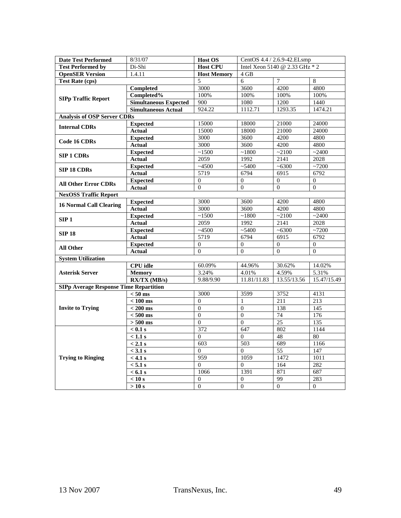| <b>Date Test Performed</b>                    | 8/31/07                      | <b>Host OS</b>     | CentOS 4.4 / 2.6.9-42.ELsmp    |                |              |  |
|-----------------------------------------------|------------------------------|--------------------|--------------------------------|----------------|--------------|--|
| <b>Test Performed by</b>                      | Di-Shi                       | <b>Host CPU</b>    | Intel Xeon 5140 @ 2.33 GHz * 2 |                |              |  |
| <b>OpenSER Version</b>                        | 1.4.11                       | <b>Host Memory</b> | 4 GB                           |                |              |  |
| <b>Test Rate (cps)</b>                        |                              | 5                  | 6                              | $\overline{7}$ | 8            |  |
|                                               | Completed                    | 3000               | 3600                           | 4200           | 4800         |  |
|                                               | Completed%                   | 100%               | 100%                           | 100%           | 100%         |  |
| <b>SIPp Traffic Report</b>                    | <b>Simultaneous Expected</b> | 900                | 1080                           | 1200           | 1440         |  |
|                                               | <b>Simultaneous Actual</b>   | 924.22             | 1112.71                        | 1293.35        | 1474.21      |  |
| <b>Analysis of OSP Server CDRs</b>            |                              |                    |                                |                |              |  |
| <b>Internal CDRs</b>                          | <b>Expected</b>              | 15000              | 18000                          | 21000          | 24000        |  |
|                                               | <b>Actual</b>                | 15000              | 18000                          | 21000          | 24000        |  |
| <b>Code 16 CDRs</b>                           | <b>Expected</b>              | 3000               | 3600                           | 4200           | 4800         |  |
|                                               | <b>Actual</b>                | 3000               | 3600                           | 4200           | 4800         |  |
| <b>SIP 1 CDRs</b>                             | <b>Expected</b>              | ~1500              | ~1800                          | ~2100          | ~2400        |  |
|                                               | <b>Actual</b>                | 2059               | 1992                           | 2141           | 2028         |  |
|                                               | <b>Expected</b>              | ~14500             | ~5400                          | ~100           | ~1200        |  |
| <b>SIP 18 CDRs</b>                            | <b>Actual</b>                | 5719               | 6794                           | 6915           | 6792         |  |
| <b>All Other Error CDRs</b>                   | <b>Expected</b>              | $\mathbf{0}$       | $\mathbf{0}$                   | $\overline{0}$ | $\mathbf{0}$ |  |
|                                               | <b>Actual</b>                | $\theta$           | $\Omega$                       | $\theta$       | $\theta$     |  |
| <b>NexOSS Traffic Report</b>                  |                              |                    |                                |                |              |  |
| <b>16 Normal Call Clearing</b>                | <b>Expected</b>              | 3000               | 3600                           | 4200           | 4800         |  |
|                                               | <b>Actual</b>                | 3000               | 3600                           | 4200           | 4800         |  |
| SIP1                                          | <b>Expected</b>              | ~1500              | ~1800                          | ~2100          | ~2400        |  |
|                                               | Actual                       | 2059               | 1992                           | 2141           | 2028         |  |
| <b>SIP 18</b>                                 | <b>Expected</b>              | $-4500$            | ~5400                          | ~100           | ~27200       |  |
|                                               | <b>Actual</b>                | 5719               | 6794                           | 6915           | 6792         |  |
| <b>All Other</b>                              | <b>Expected</b>              | $\mathbf{0}$       | $\mathbf{0}$                   | $\mathbf{0}$   | $\mathbf{0}$ |  |
|                                               | <b>Actual</b>                | $\Omega$           | $\mathbf{0}$                   | $\Omega$       | $\mathbf{0}$ |  |
| <b>System Utilization</b>                     |                              |                    |                                |                |              |  |
|                                               | <b>CPU</b> idle              | 60.09%             | 44.96%                         | 30.62%         | 14.02%       |  |
| <b>Asterisk Server</b>                        | <b>Memory</b>                | 3.24%              | 4.01%                          | 4.59%          | 5.31%        |  |
|                                               | $RX/TX$ (MB/s)               | 9.88/9.90          | 11.81/11.83                    | 13.55/13.56    | 15.47/15.49  |  |
| <b>SIPp Average Response Time Repartition</b> |                              |                    |                                |                |              |  |
|                                               | $< 50$ ms                    | 3000               | 3599                           | 3752           | 4131         |  |
|                                               | $< 100 \text{ ms}$           | $\mathbf{0}$       | 1                              | 211            | 213          |  |
| <b>Invite to Trying</b>                       | $< 200$ ms                   | $\boldsymbol{0}$   | $\boldsymbol{0}$               | 138            | 145          |  |
|                                               | $< 500$ ms                   | $\Omega$           | $\Omega$                       | 74             | 176          |  |
|                                               | $> 500$ ms                   | $\Omega$           | $\Omega$                       | 25             | 135          |  |
|                                               | $< 0.1$ s                    | 372                | 647                            | 802            | 1144         |  |
|                                               | $< 1.1$ s                    | $\mathbf{0}$       | $\mathbf{0}$                   | 48             | 80           |  |
|                                               | $< 2.1$ s                    | 603                | 503                            | 689            | 1166         |  |
|                                               | $<$ 3.1 s                    | $\theta$           | $\overline{0}$                 | 55             | 147          |  |
| <b>Trying to Ringing</b>                      | $< 4.1$ s                    | 959                | 1059                           | 1472           | 1011         |  |
|                                               | < 5.1 s                      | $\Omega$           | $\Omega$                       | 164            | 282          |  |
|                                               | $< 6.1$ s                    | 1066               | 1391                           | 871            | 687          |  |
|                                               | < 10 s                       | $\Omega$           | $\overline{0}$                 | 99             | 283          |  |
|                                               | >10 s                        | $\overline{0}$     | $\overline{0}$                 | $\Omega$       | $\Omega$     |  |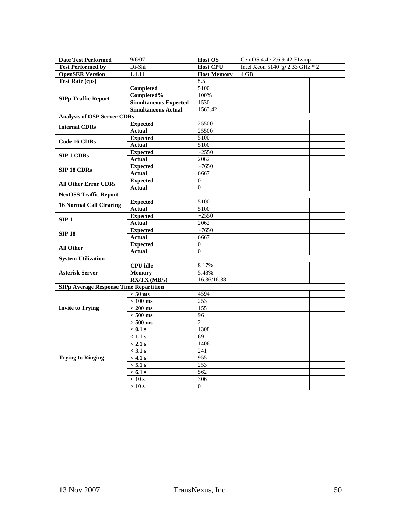| <b>Date Test Performed</b>                    | 9/6/07                       | <b>Host OS</b>     | CentOS 4.4 / 2.6.9-42.ELsmp    |
|-----------------------------------------------|------------------------------|--------------------|--------------------------------|
| <b>Test Performed by</b>                      | Di-Shi                       | <b>Host CPU</b>    | Intel Xeon 5140 @ 2.33 GHz * 2 |
| <b>OpenSER Version</b>                        | 1.4.11                       | <b>Host Memory</b> | 4 GB                           |
| <b>Test Rate (cps)</b>                        |                              | 8.5                |                                |
|                                               | <b>Completed</b>             | 5100               |                                |
|                                               | Completed%                   | 100%               |                                |
| <b>SIPp Traffic Report</b>                    | <b>Simultaneous Expected</b> | 1530               |                                |
|                                               | <b>Simultaneous Actual</b>   | 1563.42            |                                |
| <b>Analysis of OSP Server CDRs</b>            |                              |                    |                                |
| <b>Internal CDRs</b>                          | <b>Expected</b>              | 25500              |                                |
|                                               | <b>Actual</b>                | 25500              |                                |
| <b>Code 16 CDRs</b>                           | <b>Expected</b>              | 5100               |                                |
|                                               | <b>Actual</b>                | 5100               |                                |
| <b>SIP 1 CDRs</b>                             | <b>Expected</b>              | $-2550$            |                                |
|                                               | <b>Actual</b>                | 2062               |                                |
| <b>SIP 18 CDRs</b>                            | <b>Expected</b>              | $~10-7650$         |                                |
|                                               | <b>Actual</b>                | 6667               |                                |
| <b>All Other Error CDRs</b>                   | <b>Expected</b>              | $\mathbf{0}$       |                                |
|                                               | <b>Actual</b>                | $\overline{0}$     |                                |
| <b>NexOSS Traffic Report</b>                  |                              |                    |                                |
| <b>16 Normal Call Clearing</b>                | <b>Expected</b>              | 5100               |                                |
|                                               | <b>Actual</b>                | 5100               |                                |
| SIP1                                          | <b>Expected</b>              | $-2550$            |                                |
|                                               | Actual                       | 2062               |                                |
| <b>SIP 18</b>                                 | <b>Expected</b>              | $~10-7650$         |                                |
|                                               | <b>Actual</b>                | 6667               |                                |
| <b>All Other</b>                              | <b>Expected</b>              | $\mathbf{0}$       |                                |
|                                               | <b>Actual</b>                | $\overline{0}$     |                                |
| <b>System Utilization</b>                     |                              |                    |                                |
|                                               | <b>CPU</b> idle              | 8.17%              |                                |
| <b>Asterisk Server</b>                        | <b>Memory</b>                | 5.48%              |                                |
|                                               | $RX/TX$ (MB/s)               | 16.36/16.38        |                                |
| <b>SIPp Average Response Time Repartition</b> |                              |                    |                                |
|                                               | $< 50$ ms                    | 4594               |                                |
|                                               | $< 100$ ms                   | 253                |                                |
| <b>Invite to Trying</b>                       | $< 200 \text{ ms}$           | 155                |                                |
|                                               | $< 500$ ms                   | 96                 |                                |
|                                               | $> 500$ ms                   | $\overline{2}$     |                                |
|                                               | $< 0.1$ s                    | 1308               |                                |
|                                               | $\overline{<1.1s}$           | 69                 |                                |
|                                               | $< 2.1$ s                    | 1406               |                                |
|                                               | $<$ 3.1 s                    | 241                |                                |
| <b>Trying to Ringing</b>                      | $< 4.1$ s                    | 955                |                                |
|                                               | < 5.1 s                      | 253                |                                |
|                                               | $< 6.1$ s                    | 562                |                                |
|                                               | < 10 s                       | 306                |                                |
|                                               | >10 s                        | $\mathbf{0}$       |                                |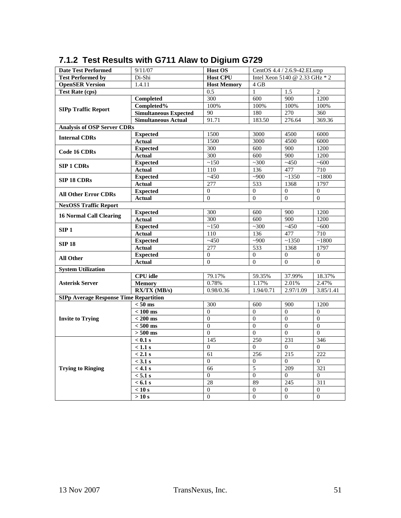| <b>Date Test Performed</b>                    | 9/11/07                      | <b>Host OS</b>     |                                | CentOS 4.4 / 2.6.9-42.ELsmp |                  |
|-----------------------------------------------|------------------------------|--------------------|--------------------------------|-----------------------------|------------------|
| <b>Test Performed by</b>                      | Di-Shi                       | <b>Host CPU</b>    | Intel Xeon 5140 @ 2.33 GHz * 2 |                             |                  |
| <b>OpenSER Version</b>                        | 1.4.11                       | <b>Host Memory</b> | $4$ GB                         |                             |                  |
| <b>Test Rate (cps)</b>                        |                              | 0.5                | 1                              | $\overline{1.5}$            | 2                |
|                                               | <b>Completed</b>             | 300                | 600                            | 900                         | 1200             |
|                                               | Completed%                   | 100%               | 100%                           | 100%                        | 100%             |
| <b>SIPp Traffic Report</b>                    | <b>Simultaneous Expected</b> | 90                 | 180                            | 270                         | 360              |
|                                               | <b>Simultaneous Actual</b>   | 91.71              | 183.50                         | 276.64                      | 369.36           |
| <b>Analysis of OSP Server CDRs</b>            |                              |                    |                                |                             |                  |
|                                               | <b>Expected</b>              | 1500               | 3000                           | 4500                        | 6000             |
| <b>Internal CDRs</b>                          | <b>Actual</b>                | 1500               | 3000                           | 4500                        | 6000             |
|                                               | <b>Expected</b>              | 300                | 600                            | 900                         | 1200             |
| <b>Code 16 CDRs</b>                           | <b>Actual</b>                | 300                | 600                            | 900                         | 1200             |
| <b>SIP 1 CDRs</b>                             | <b>Expected</b>              | ~150               | $\overline{\sim}300$           | ~1450                       | ~100             |
|                                               | <b>Actual</b>                | 110                | 136                            | 477                         | 710              |
|                                               | <b>Expected</b>              | $-450$             | $-900$                         | ~1350                       | ~1800            |
| <b>SIP 18 CDRs</b>                            | <b>Actual</b>                | 277                | 533                            | 1368                        | 1797             |
|                                               | <b>Expected</b>              | $\mathbf{0}$       | $\theta$                       | $\overline{0}$              | $\mathbf{0}$     |
| <b>All Other Error CDRs</b>                   | <b>Actual</b>                | $\overline{0}$     | $\overline{0}$                 | $\mathbf{0}$                | $\overline{0}$   |
| <b>NexOSS Traffic Report</b>                  |                              |                    |                                |                             |                  |
| <b>16 Normal Call Clearing</b>                | <b>Expected</b>              | 300                | 600                            | 900                         | 1200             |
|                                               | <b>Actual</b>                | 300                | 600                            | 900                         | 1200             |
| SIP1                                          | <b>Expected</b>              | ~150               | ~100                           | ~1450                       | ~100             |
|                                               | Actual                       | 110                | 136                            | 477                         | 710              |
| <b>SIP 18</b>                                 | <b>Expected</b>              | ~1450              | $-900$                         | ~1350                       | ~1800            |
|                                               | <b>Actual</b>                | 277                | 533                            | 1368                        | 1797             |
| <b>All Other</b>                              | <b>Expected</b>              | $\overline{0}$     | $\overline{0}$                 | $\mathbf{0}$                | $\overline{0}$   |
|                                               | <b>Actual</b>                | $\mathbf{0}$       | $\overline{0}$                 | $\mathbf{0}$                | $\mathbf{0}$     |
| <b>System Utilization</b>                     |                              |                    |                                |                             |                  |
|                                               | <b>CPU</b> idle              | 79.17%             | 59.35%                         | 37.99%                      | 18.37%           |
| <b>Asterisk Server</b>                        | <b>Memory</b>                | 0.78%              | 1.17%                          | 2.01%                       | 2.47%            |
|                                               | $RX/TX$ (MB/s)               | 0.98/0.36          | 1.94/0.71                      | 2.97/1.09                   | 3.85/1.41        |
| <b>SIPp Average Response Time Repartition</b> |                              |                    |                                |                             |                  |
|                                               | $< 50$ ms                    | 300                | 600                            | 900                         | 1200             |
|                                               | $< 100 \text{ ms}$           | $\mathbf{0}$       | $\overline{0}$                 | $\overline{0}$              | $\overline{0}$   |
| <b>Invite to Trying</b>                       | $< 200$ ms                   | $\theta$           | $\mathbf{0}$                   | $\Omega$                    | $\Omega$         |
|                                               | $< 500$ ms                   | $\mathbf{0}$       | $\boldsymbol{0}$               | $\mathbf{0}$                | $\overline{0}$   |
|                                               | $> 500$ ms                   | $\theta$           | $\theta$                       | $\Omega$                    | $\theta$         |
|                                               | $< 0.1$ s                    | $\overline{1}45$   | 250                            | 231                         | 346              |
|                                               | $\sqrt{1.1}$ s               | $\mathbf{0}$       | 0                              | $\overline{0}$              | $\mathbf{0}$     |
|                                               | $< 2.1$ s                    | 61                 | 256                            | 215                         | 222              |
|                                               | $<$ 3.1 s                    | $\overline{0}$     | $\theta$                       | $\overline{0}$              | $\mathbf{0}$     |
| <b>Trying to Ringing</b>                      | $< 4.1$ s                    | 66                 | 5                              | 209                         | 321              |
|                                               | $< 5.1$ s                    | $\boldsymbol{0}$   | $\boldsymbol{0}$               | $\Omega$                    | $\boldsymbol{0}$ |
|                                               | $< 6.1$ s                    | 28                 | 89                             | 245                         | 311              |
|                                               | $\overline{<10}$ s           | $\mathbf{0}$       | $\mathbf{0}$                   | $\overline{0}$              | $\theta$         |
|                                               | $>10$ s                      | $\theta$           | $\Omega$                       | $\Omega$                    | $\boldsymbol{0}$ |

### **7.1.2 Test Results with G711 Alaw to Digium G729**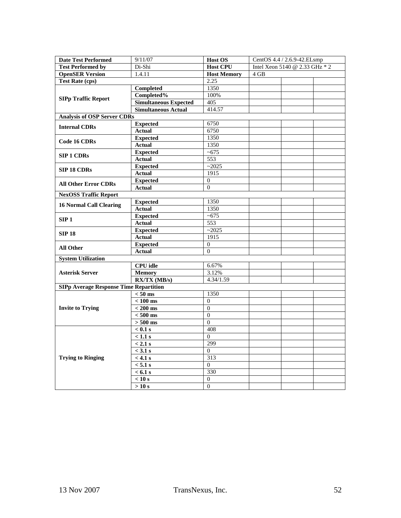| <b>Date Test Performed</b>                    | 9/11/07                      | Host OS            | CentOS 4.4 / 2.6.9-42.ELsmp    |
|-----------------------------------------------|------------------------------|--------------------|--------------------------------|
| <b>Test Performed by</b>                      | Di-Shi                       | <b>Host CPU</b>    | Intel Xeon 5140 @ 2.33 GHz * 2 |
| <b>OpenSER Version</b>                        | 1.4.11                       | <b>Host Memory</b> | 4 GB                           |
| <b>Test Rate (cps)</b>                        |                              | 2.25               |                                |
|                                               | <b>Completed</b>             | 1350               |                                |
|                                               | Completed%                   | 100%               |                                |
| <b>SIPp Traffic Report</b>                    | <b>Simultaneous Expected</b> | 405                |                                |
|                                               | <b>Simultaneous Actual</b>   | 414.57             |                                |
| <b>Analysis of OSP Server CDRs</b>            |                              |                    |                                |
| <b>Internal CDRs</b>                          | <b>Expected</b>              | 6750               |                                |
|                                               | <b>Actual</b>                | 6750               |                                |
| <b>Code 16 CDRs</b>                           | <b>Expected</b>              | 1350               |                                |
|                                               | <b>Actual</b>                | 1350               |                                |
| <b>SIP 1 CDRs</b>                             | <b>Expected</b>              | ~100               |                                |
|                                               | <b>Actual</b>                | 553                |                                |
| <b>SIP 18 CDRs</b>                            | <b>Expected</b>              | ~2025              |                                |
|                                               | <b>Actual</b>                | 1915               |                                |
| <b>All Other Error CDRs</b>                   | <b>Expected</b>              | $\Omega$           |                                |
|                                               | <b>Actual</b>                | $\theta$           |                                |
| <b>NexOSS Traffic Report</b>                  |                              |                    |                                |
| <b>16 Normal Call Clearing</b>                | <b>Expected</b>              | 1350               |                                |
|                                               | <b>Actual</b>                | 1350               |                                |
| SIP <sub>1</sub>                              | <b>Expected</b>              | ~100               |                                |
|                                               | <b>Actual</b>                | 553                |                                |
| <b>SIP 18</b>                                 | <b>Expected</b>              | $\overline{2025}$  |                                |
|                                               | <b>Actual</b>                | 1915               |                                |
| All Other                                     | <b>Expected</b>              | $\overline{0}$     |                                |
|                                               | <b>Actual</b>                | $\overline{0}$     |                                |
| <b>System Utilization</b>                     |                              |                    |                                |
|                                               | CPU idle                     | 6.67%              |                                |
| <b>Asterisk Server</b>                        | <b>Memory</b>                | 3.12%              |                                |
|                                               | $RX/TX$ (MB/s)               | 4.34/1.59          |                                |
| <b>SIPp Average Response Time Repartition</b> |                              |                    |                                |
|                                               | $< 50$ ms                    | 1350               |                                |
|                                               | $< 100 \text{ ms}$           | $\Omega$           |                                |
| <b>Invite to Trying</b>                       | $< 200 \text{ ms}$           | $\theta$           |                                |
|                                               | $< 500$ ms                   | $\theta$           |                                |
|                                               | $> 500 \text{ ms}$           | $\Omega$           |                                |
|                                               | $< 0.1$ s                    | 408                |                                |
|                                               | $< 1.1$ s                    | $\theta$           |                                |
|                                               | $< 2.1$ s                    | 299                |                                |
|                                               | $<$ 3.1 s                    | $\overline{0}$     |                                |
| <b>Trying to Ringing</b>                      | $< 4.1$ s                    | $\overline{313}$   |                                |
|                                               | < 5.1 s                      | $\Omega$           |                                |
|                                               | $< 6.1$ s                    | 330                |                                |
|                                               | < 10 s                       | $\overline{0}$     |                                |
|                                               | >10 s                        | $\Omega$           |                                |